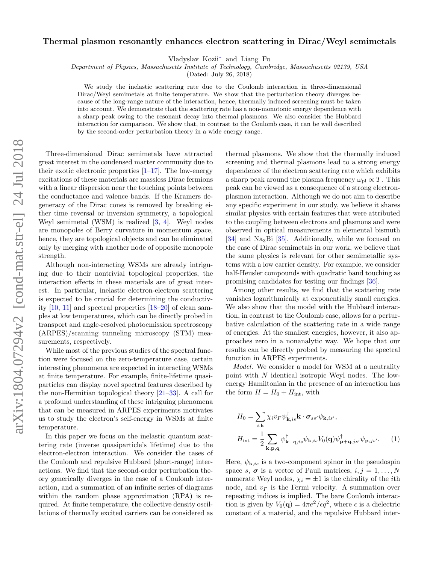## Thermal plasmon resonantly enhances electron scattering in Dirac/Weyl semimetals

Vladyslav Kozii∗ and Liang Fu

Department of Physics, Massachusetts Institute of Technology, Cambridge, Massachusetts 02139, USA

(Dated: July 26, 2018)

We study the inelastic scattering rate due to the Coulomb interaction in three-dimensional Dirac/Weyl semimetals at finite temperature. We show that the perturbation theory diverges because of the long-range nature of the interaction, hence, thermally induced screening must be taken into account. We demonstrate that the scattering rate has a non-monotonic energy dependence with a sharp peak owing to the resonant decay into thermal plasmons. We also consider the Hubbard interaction for comparison. We show that, in contrast to the Coulomb case, it can be well described by the second-order perturbation theory in a wide energy range.

Three-dimensional Dirac semimetals have attracted great interest in the condensed matter community due to their exotic electronic properties  $[1-17]$ . The low-energy excitations of these materials are massless Dirac fermions with a linear dispersion near the touching points between the conductance and valence bands. If the Kramers degeneracy of the Dirac cones is removed by breaking either time reversal or inversion symmetry, a topological Weyl semimetal (WSM) is realized [3, 4]. Weyl nodes are monopoles of Berry curvature in momentum space, hence, they are topological objects and can be eliminated only by merging with another node of opposite monopole strength.

Although non-interacting WSMs are already intriguing due to their nontrivial topological properties, the interaction effects in these materials are of great interest. In particular, inelastic electron-electron scattering is expected to be crucial for determining the conductivity [10, 11] and spectral properties [18–20] of clean samples at low temperatures, which can be directly probed in transport and angle-resolved photoemission spectroscopy (ARPES)/scanning tunneling microscopy (STM) measurements, respectively.

While most of the previous studies of the spectral function were focused on the zero-temperature case, certain interesting phenomena are expected in interacting WSMs at finite temperature. For example, finite-lifetime quasiparticles can display novel spectral features described by the non-Hermitian topological theory  $[21-33]$ . A call for a profound understanding of these intriguing phenomena that can be measured in ARPES experiments motivates us to study the electron's self-energy in WSMs at finite temperature.

In this paper we focus on the inelastic quantum scattering rate (inverse quasiparticle's lifetime) due to the electron-electron interaction. We consider the cases of the Coulomb and repulsive Hubbard (short-range) interactions. We find that the second-order perturbation theory generically diverges in the case of a Coulomb interaction, and a summation of an infinite series of diagrams within the random phase approximation  $(RPA)$  is required. At finite temperature, the collective density oscillations of thermally excited carriers can be considered as

thermal plasmons. We show that the thermally induced screening and thermal plasmons lead to a strong energy dependence of the electron scattering rate which exhibits a sharp peak around the plasma frequency  $\omega_{\text{pl}} \propto T$ . This peak can be viewed as a consequence of a strong electronplasmon interaction. Although we do not aim to describe any specific experiment in our study, we believe it shares similar physics with certain features that were attributed to the coupling between electrons and plasmons and were observed in optical measurements in elemental bismuth [34] and Na<sub>3</sub>Bi [35]. Additionally, while we focused on the case of Dirac semimetals in our work, we believe that the same physics is relevant for other semimetallic systems with a low carrier density. For example, we consider half-Heusler compounds with quadratic band touching as promising candidates for testing our findings [36].

Among other results, we find that the scattering rate vanishes logarithmically at exponentially small energies. We also show that the model with the Hubbard interaction, in contrast to the Coulomb case, allows for a perturbative calculation of the scattering rate in a wide range of energies. At the smallest energies, however, it also approaches zero in a nonanalytic way. We hope that our results can be directly probed by measuring the spectral function in ARPES experiments.

Model. We consider a model for WSM at a neutrality point with N identical isotropic Weyl nodes. The lowenergy Hamiltonian in the presence of an interaction has the form  $H = H_0 + H_{\text{int}}$ , with

$$
H_0 = \sum_{i,\mathbf{k}} \chi_i v_F \psi_{\mathbf{k},is}^\dagger \mathbf{k} \cdot \boldsymbol{\sigma}_{ss'} \psi_{\mathbf{k},is'},
$$
  

$$
H_{\text{int}} = \frac{1}{2} \sum_{\mathbf{k}, \mathbf{p}, \mathbf{q}} \psi_{\mathbf{k} - \mathbf{q},is}^\dagger \psi_{\mathbf{k},is} V_0(\mathbf{q}) \psi_{\mathbf{p} + \mathbf{q},js'}^\dagger \psi_{\mathbf{p},js'}.
$$
 (1)

Here,  $\psi_{\mathbf{k},i s}$  is a two-component spinor in the pseudospin space s,  $\sigma$  is a vector of Pauli matrices,  $i, j = 1, ..., N$ numerate Weyl nodes,  $\chi_i = \pm 1$  is the chirality of the *i*th node, and  $v_F$  is the Fermi velocity. A summation over repeating indices is implied. The bare Coulomb interaction is given by  $V_0(\mathbf{q}) = 4\pi e^2/\epsilon q^2$ , where  $\epsilon$  is a dielectric constant of a material, and the repulsive Hubbard inter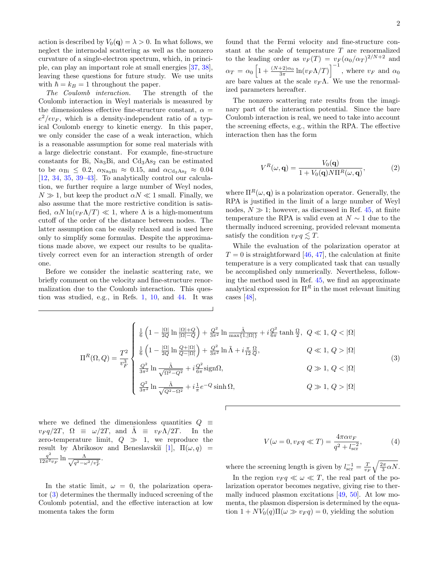action is described by  $V_0(\mathbf{q}) = \lambda > 0$ . In what follows, we neglect the internodal scattering as well as the nonzero curvature of a single-electron spectrum, which, in principle, can play an important role at small energies [37, 38], leaving these questions for future study. We use units with  $\hbar = k_B = 1$  throughout the paper.

The Coulomb interaction. The strength of the Coulomb interaction in Weyl materials is measured by the dimensionless effective fine-structure constant,  $\alpha =$  $e^2/\epsilon v_F$ , which is a density-independent ratio of a typical Coulomb energy to kinetic energy. In this paper, we only consider the case of a weak interaction, which is a reasonable assumption for some real materials with a large dielectric constant. For example, fine-structure constants for Bi, Na<sub>3</sub>Bi, and  $Cd<sub>3</sub>As<sub>2</sub>$  can be estimated to be  $\alpha_{\text{Bi}} \leq 0.2$ ,  $\alpha_{\text{Na}_3\text{Bi}} \approx 0.15$ , and  $\alpha_{\text{Cd}_3\text{As}_2} \approx 0.04$ [12, 34, 35, 39–43]. To analytically control our calculation, we further require a large number of Weyl nodes,  $N \gg 1$ , but keep the product  $\alpha N \ll 1$  small. Finally, we also assume that the more restrictive condition is satisfied,  $\alpha N \ln(v_F \Lambda/T) \ll 1$ , where  $\Lambda$  is a high-momentum cutoff of the order of the distance between nodes. The latter assumption can be easily relaxed and is used here only to simplify some formulas. Despite the approximations made above, we expect our results to be qualitatively correct even for an interaction strength of order one.

Before we consider the inelastic scattering rate, we briefly comment on the velocity and fine-structure renormalization due to the Coulomb interaction. This question was studied, e.g., in Refs. 1, 10, and 44. It was

found that the Fermi velocity and fine-structure constant at the scale of temperature T are renormalized to the leading order as  $v_F(T) = v_F(\alpha_0/\alpha_T)^{2/N+2}$  and  $\alpha_T = \alpha_0 \left[ 1 + \frac{(N+2)\alpha_0}{3\pi} \ln(v_F \Lambda/T) \right]^{-1}$ , where  $v_F$  and  $\alpha_0$ are bare values at the scale  $v_F \Lambda$ . We use the renormalized parameters hereafter.

The nonzero scattering rate results from the imaginary part of the interaction potential. Since the bare Coulomb interaction is real, we need to take into account the screening effects, e.g., within the RPA. The effective interaction then has the form

$$
V^R(\omega, \mathbf{q}) = \frac{V_0(\mathbf{q})}{1 + V_0(\mathbf{q}) N \Pi^R(\omega, \mathbf{q})},
$$
 (2)

where  $\Pi^R(\omega, \mathbf{q})$  is a polarization operator. Generally, the RPA is justified in the limit of a large number of Weyl nodes,  $N \gg 1$ ; however, as discussed in Ref. 45, at finite temperature the RPA is valid even at  $N \sim 1$  due to the thermally induced screening, provided relevant momenta satisfy the condition  $v_F q \lesssim T$ .

While the evaluation of the polarization operator at  $T = 0$  is straightforward [46, 47], the calculation at finite temperature is a very complicated task that can usually be accomplished only numerically. Nevertheless, following the method used in Ref. 45, we find an approximate analytical expression for  $\Pi^R$  in the most relevant limiting cases [48],

$$
\Pi^{R}(\Omega,Q) = \frac{T^{2}}{v_{F}^{3}} \begin{cases} \frac{1}{6} \left(1 - \frac{|\Omega|}{2Q} \ln \frac{|\Omega| + Q}{|\Omega| - Q}\right) + \frac{Q^{2}}{3\pi^{2}} \ln \frac{\tilde{\Lambda}}{\max\{1, |\Omega|\}} + i \frac{Q^{2}}{6\pi} \tanh \frac{\Omega}{2}, \ Q \ll 1, \ Q < |\Omega| \\ \frac{1}{6} \left(1 - \frac{|\Omega|}{2Q} \ln \frac{Q + |\Omega|}{Q - |\Omega|}\right) + \frac{Q^{2}}{3\pi^{2}} \ln \tilde{\Lambda} + i \frac{\pi}{12} \frac{\Omega}{Q}, \ Q \ll 1, \ Q > |\Omega| \\ \frac{Q^{2}}{3\pi^{2}} \ln \frac{\tilde{\Lambda}}{\sqrt{\Omega^{2} - Q^{2}}} + i \frac{Q^{2}}{6\pi} \text{sign}\Omega, \ Q \gg 1, \ Q < |\Omega| \\ \frac{Q^{2}}{3\pi^{2}} \ln \frac{\tilde{\Lambda}}{\sqrt{Q^{2} - \Omega^{2}}} + i \frac{1}{\pi} e^{-Q} \sinh \Omega, \ Q \gg 1, \ Q > |\Omega| \end{cases} \tag{3}
$$

where we defined the dimensionless quantities  $Q \equiv$  $v_F q/2T$ ,  $\Omega \equiv \omega/2T$ , and  $\tilde{\Lambda} \equiv v_F \Lambda/2T$ . In the zero-temperature limit,  $Q \gg 1$ , we reproduce the result by Abrikosov and Beneslavskiı̆ $[1]$ ,  $\Pi(\omega, q)$  =  $q^2$  $\frac{q^2}{12\pi^2 v_F} \ln \frac{\Lambda}{\sqrt{q^2-\mu^2}}$  $\frac{\Lambda}{q^2-\omega^2/v_F^2}.$ 

In the static limit,  $\omega = 0$ , the polarization operator (3) determines the thermally induced screening of the Coulomb potential, and the effective interaction at low momenta takes the form

$$
V(\omega = 0, v_F q \ll T) = \frac{4\pi\alpha v_F}{q^2 + l_{\rm scr}^{-2}},\tag{4}
$$

where the screening length is given by  $l_{\text{scr}}^{-1} = \frac{T}{v_F} \sqrt{\frac{2\pi}{3} \alpha N}$ .

In the region  $v_F q \ll \omega \ll T$ , the real part of the polarization operator becomes negative, giving rise to thermally induced plasmon excitations [49, 50]. At low momenta, the plasmon dispersion is determined by the equation  $1 + NV_0(q)\Pi(\omega \gg v_F q) = 0$ , yielding the solution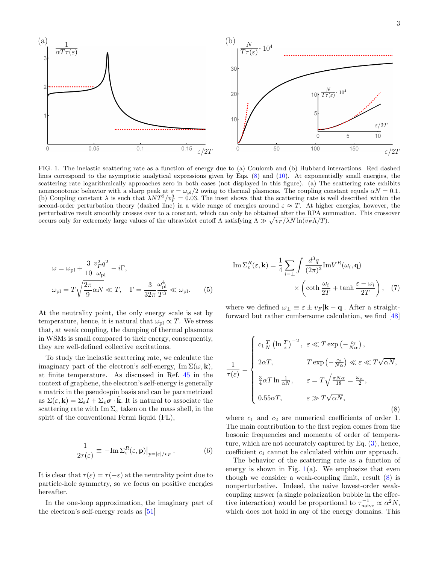

FIG. 1. The inelastic scattering rate as a function of energy due to (a) Coulomb and (b) Hubbard interactions. Red dashed lines correspond to the asymptotic analytical expressions given by Eqs. (8) and (10). At exponentially small energies, the scattering rate logarithmically approaches zero in both cases (not displayed in this figure). (a) The scattering rate exhibits nonmonotonic behavior with a sharp peak at  $\varepsilon = \omega_{\rm pl}/2$  owing to thermal plasmons. The coupling constant equals  $\alpha N = 0.1$ . (b) Coupling constant  $\lambda$  is such that  $\lambda NT^2/v_F^3 = 0.03$ . The inset shows that the scattering rate is well described within the second-order perturbation theory (dashed line) in a wide range of energies around  $\varepsilon \approx T$ . At higher energies, however, the perturbative result smoothly crosses over to a constant, which can only be obtained after the RPA summation. This crossover occurs only for extremely large values of the ultraviolet cutoff  $\Lambda$  satisfying  $\Lambda \gg \sqrt{v_F/\lambda N \ln(v_F \Lambda/T)}$ .

$$
\omega = \omega_{\rm pl} + \frac{3}{10} \frac{v_F^2 q^2}{\omega_{\rm pl}} - i\Gamma,
$$
  

$$
\omega_{\rm pl} = T \sqrt{\frac{2\pi}{9} \alpha N} \ll T, \quad \Gamma = \frac{3}{32\pi} \frac{\omega_{\rm pl}^4}{T^3} \ll \omega_{\rm pl}.
$$
 (5)

At the neutrality point, the only energy scale is set by temperature, hence, it is natural that  $\omega_{\text{pl}} \propto T$ . We stress that, at weak coupling, the damping of thermal plasmons in WSMs is small compared to their energy, consequently, they are well-defined collective excitations.

To study the inelastic scattering rate, we calculate the imaginary part of the electron's self-energy,  $\text{Im }\Sigma(\omega, \mathbf{k}),$ at finite temperature. As discussed in Ref. 45 in the context of graphene, the electron's self-energy is generally a matrix in the pseudospin basis and can be parametrized as  $\Sigma(\varepsilon, \mathbf{k}) = \Sigma_{\varepsilon} I + \Sigma_{v} \sigma \cdot \mathbf{k}$ . It is natural to associate the scattering rate with  $\text{Im }\Sigma_{\varepsilon}$  taken on the mass shell, in the spirit of the conventional Fermi liquid (FL),

$$
\frac{1}{2\tau(\varepsilon)} \equiv -\mathrm{Im}\,\Sigma^R_{\varepsilon}(\varepsilon,\mathbf{p})\big|_{p=|\varepsilon|/v_F}.
$$
 (6)

It is clear that  $\tau(\varepsilon) = \tau(-\varepsilon)$  at the neutrality point due to particle-hole symmetry, so we focus on positive energies hereafter.

In the one-loop approximation, the imaginary part of the electron's self-energy reads as [51]

Im 
$$
\Sigma_{\varepsilon}^{R}(\varepsilon, \mathbf{k}) = \frac{1}{4} \sum_{i=\pm} \int \frac{d^{3}q}{(2\pi)^{3}} Im V^{R}(\omega_{i}, \mathbf{q})
$$
  
  $\times \left( \coth \frac{\omega_{i}}{2T} + \tanh \frac{\varepsilon - \omega_{i}}{2T} \right), \quad (7)$ 

where we defined  $\omega_{\pm} \equiv \varepsilon \pm v_F |\mathbf{k} - \mathbf{q}|$ . After a straightforward but rather cumbersome calculation, we find [48]

$$
\frac{1}{\tau(\varepsilon)} = \begin{cases}\nc_1 \frac{T}{N} \left(\ln \frac{T}{\varepsilon}\right)^{-2}, & \varepsilon \ll T \exp\left(-\frac{c_2}{N\alpha}\right), \\
2\alpha T, & T \exp\left(-\frac{c_2}{N\alpha}\right) \ll \varepsilon \ll T\sqrt{\alpha N}, \\
\frac{3}{4}\alpha T \ln \frac{1}{\alpha N}, & \varepsilon = T\sqrt{\frac{\pi N \alpha}{18}} = \frac{\omega_{\text{pl}}}{2}, \\
0.55\alpha T, & \varepsilon \gg T\sqrt{\alpha N},\n\end{cases}
$$
\n(8)

where  $c_1$  and  $c_2$  are numerical coefficients of order 1. The main contribution to the first region comes from the bosonic frequencies and momenta of order of temperature, which are not accurately captured by Eq. (3), hence, coefficient  $c_1$  cannot be calculated within our approach.

The behavior of the scattering rate as a function of energy is shown in Fig.  $1(a)$ . We emphasize that even though we consider a weak-coupling limit, result (8) is nonperturbative. Indeed, the naive lowest-order weakcoupling answer (a single polarization bubble in the effective interaction) would be proportional to  $\tau_{\text{naive}}^{-1} \propto \alpha^2 N$ , which does not hold in any of the energy domains. This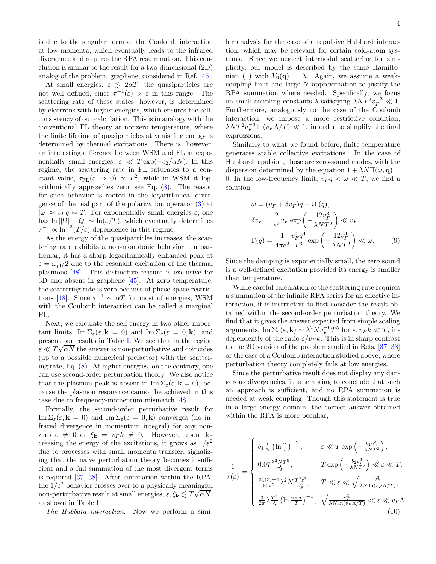is due to the singular form of the Coulomb interaction at low momenta, which eventually leads to the infrared divergence and requires the RPA resummation. This conclusion is similar to the result for a two-dimensional (2D) analog of the problem, graphene, considered in Ref. [45].

At small energies,  $\varepsilon \leq 2\alpha T$ , the quasiparticles are not well defined, since  $\tau^{-1}(\varepsilon) > \varepsilon$  in this range. The scattering rate of these states, however, is determined by electrons with higher energies, which ensures the selfconsistency of our calculation. This is in analogy with the conventional FL theory at nonzero temperature, where the finite lifetime of quasiparticles at vanishing energy is determined by thermal excitations. There is, however, an interesting difference between WSM and FL at exponentially small energies,  $\varepsilon \ll T \exp(-c_2/\alpha N)$ . In this regime, the scattering rate in FL saturates to a constant value,  $\tau_{FL}(\varepsilon \to 0) \propto T^2$ , while in WSM it logarithmically approaches zero, see Eq. (8). The reason for such behavior is rooted in the logarithmical divergence of the real part of the polarization operator (3) at  $|\omega| \approx v_F q \sim T$ . For exponentially small energies  $\varepsilon$ , one has  $\ln |\Omega| - Q| \sim \ln(\varepsilon/T)$ , which eventually determines  $\tau^{-1} \propto \ln^{-2}(T/\varepsilon)$  dependence in this regime.

As the energy of the quasiparticles increases, the scattering rate exhibits a non-monotonic behavior. In particular, it has a sharp logarithmically enhanced peak at  $\varepsilon = \omega_{\text{pl}}/2$  due to the resonant excitation of the thermal plasmons [48]. This distinctive feature is exclusive for 3D and absent in graphene [45]. At zero temperature, the scattering rate is zero because of phase-space restrictions [18]. Since  $\tau^{-1} \sim \alpha T$  for most of energies, WSM with the Coulomb interaction can be called a marginal FL.

Next, we calculate the self-energy in two other important limits,  $\text{Im }\Sigma_{\varepsilon}(\varepsilon, \mathbf{k} = 0)$  and  $\text{Im }\Sigma_{\varepsilon}(\varepsilon = 0, \mathbf{k}),$  and present our results in Table I. We see that in the region  $\varepsilon \ll T \sqrt{\alpha N}$  the answer is non-perturbative and coincides (up to a possible numerical prefactor) with the scattering rate, Eq. (8). At higher energies, on the contrary, one can use second-order perturbation theory. We also notice that the plasmon peak is absent in  $\text{Im }\Sigma_{\varepsilon}(\varepsilon, \mathbf{k} = 0)$ , because the plasmon resonance cannot be achieved in this case due to frequency-momentum mismatch [48].

Formally, the second-order perturbative result for Im  $\Sigma_{\varepsilon}(\varepsilon, \mathbf{k} = 0)$  and Im  $\Sigma_{\varepsilon}(\varepsilon = 0, \mathbf{k})$  converges (no infrared divergence in momentum integral) for any nonzero  $\varepsilon \neq 0$  or  $\xi_{\mathbf{k}} = v_F k \neq 0$ . However, upon decreasing the energy of the excitations, it grows as  $1/\varepsilon^2$ due to processes with small momenta transfer, signalizing that the naive perturbation theory becomes insufficient and a full summation of the most divergent terms is required [37, 38]. After summation within the RPA, the  $1/\varepsilon^2$  behavior crosses over to a physically meaningful non-perturbative result at small energies,  $\varepsilon, \xi_{\bf k} \lesssim T \sqrt{\alpha N},$ as shown in Table I.

The Hubbard interaction. Now we perform a simi-

lar analysis for the case of a repulsive Hubbard interaction, which may be relevant for certain cold-atom systems. Since we neglect internodal scattering for simplicity, our model is described by the same Hamiltonian (1) with  $V_0(\mathbf{q}) = \lambda$ . Again, we assume a weakcoupling limit and large- $N$  approximation to justify the RPA summation where needed. Specifically, we focus on small coupling constants  $\lambda$  satisfying  $\lambda NT^{2}v_{F}^{-3} \ll 1$ . Furthermore, analogously to the case of the Coulomb interaction, we impose a more restrictive condition,  $\lambda NT^{2}v_{F}^{-3}\ln(v_{F}\Lambda/T)\ll1,$  in order to simplify the final expressions.

Similarly to what we found before, finite temperature generates stable collective excitations. In the case of Hubbard repulsion, those are zero-sound modes, with the dispersion determined by the equation  $1 + \lambda N \Pi(\omega, \mathbf{q}) =$ 0. In the low-frequency limit,  $v_F q < \omega \ll T$ , we find a solution

$$
\omega = (v_F + \delta v_F)q - i\Gamma(q),
$$
  
\n
$$
\delta v_F = \frac{2}{e^2} v_F \exp\left(-\frac{12v_F^3}{\lambda NT^2}\right) \ll v_F,
$$
  
\n
$$
\Gamma(q) = \frac{1}{4\pi e^2} \frac{v_F^4 q^4}{T^3} \exp\left(-\frac{12v_F^3}{\lambda NT^2}\right) \ll \omega.
$$
 (9)

Since the damping is exponentially small, the zero sound is a well-defined excitation provided its energy is smaller than temperature.

While careful calculation of the scattering rate requires a summation of the infinite RPA series for an effective interaction, it is instructive to first consider the result obtained within the second-order perturbation theory. We find that it gives the answer expected from simple scaling arguments,  $\text{Im }\Sigma_{\varepsilon}(\varepsilon, \mathbf{k}) \sim \lambda^2 N v_F^{-6} T^5$  for  $\varepsilon, v_F k \ll T$ , independently of the ratio  $\varepsilon/v_F k$ . This is in sharp contrast to the 2D version of the problem studied in Refs. [37, 38] or the case of a Coulomb interaction studied above, where perturbation theory completely fails at low energies.

Since the perturbative result does not display any dangerous divergencies, it is tempting to conclude that such an approach is sufficient, and no RPA summation is needed at weak coupling. Though this statement is true in a large energy domain, the correct answer obtained within the RPA is more peculiar,

$$
\frac{1}{\tau(\varepsilon)} = \begin{cases} b_1 \frac{T}{N} \left( \ln \frac{T}{\varepsilon} \right)^{-2}, & \varepsilon \ll T \exp \left( -\frac{b_2 v_F^3}{\lambda N T^2} \right), \\ 0.07 \frac{\lambda^2 N T^5}{v_F^6}, & T \exp \left( -\frac{b_2 v_F^3}{\lambda N T^2} \right) \ll \varepsilon \ll T, \\ \frac{3\zeta(3) + 4}{96\pi^3} \lambda^2 N \frac{T^3 \varepsilon^2}{v_F^6}, & T \ll \varepsilon \ll \sqrt{\frac{v_F^3}{\lambda N \ln(v_F \Lambda/T)}}, \\ \frac{3}{2\pi} \lambda \frac{T^3}{v_F^3} \left( \ln \frac{v_F \Lambda}{T} \right)^{-1}, & \sqrt{\frac{v_F^3}{\lambda N \ln(v_F \Lambda/T)}} \ll \varepsilon \ll v_F \Lambda. \end{cases}
$$
(10)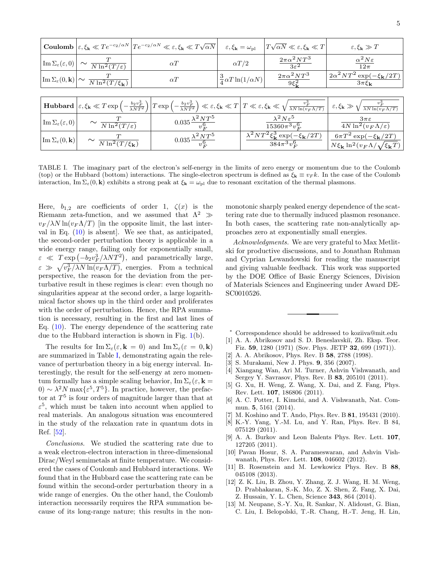|                                                                       |                                                                                                                                                                                                                                                                                                      |            | <b>Coulomb</b> $\left \varepsilon, \xi_{\mathbf{k}} \ll Te^{-c_2/\alpha N} \right  Te^{-c_2/\alpha N} \ll \varepsilon, \xi_{\mathbf{k}} \ll T\sqrt{\alpha N}$ |                                        | $\varepsilon, \xi_{\mathbf{k}} = \omega_{\text{pl}}$                                       | $ T\sqrt{\alpha N}\ll\varepsilon,\xi_{\bf k}\ll T $ | $\varepsilon, \xi_{\mathbf{k}} \gg T$                                                                  |
|-----------------------------------------------------------------------|------------------------------------------------------------------------------------------------------------------------------------------------------------------------------------------------------------------------------------------------------------------------------------------------------|------------|---------------------------------------------------------------------------------------------------------------------------------------------------------------|----------------------------------------|--------------------------------------------------------------------------------------------|-----------------------------------------------------|--------------------------------------------------------------------------------------------------------|
|                                                                       | $\left \operatorname{Im}\Sigma_{\varepsilon}(\varepsilon,0)\right \sim \frac{T}{N\ln^2(T/\varepsilon)}$                                                                                                                                                                                              | $\alpha T$ |                                                                                                                                                               | $\alpha T/2$                           |                                                                                            | $\frac{2\pi\alpha^2 NT^3}{3\varepsilon^2}$          | $\frac{\alpha^2 N \varepsilon}{12 \pi}$                                                                |
|                                                                       | $\left \text{Im }\Sigma_{\varepsilon}(0, \mathbf{k})\right  \sim \frac{T}{N \ln^2(T/\xi_{\mathbf{k}})}$                                                                                                                                                                                              | $\alpha T$ |                                                                                                                                                               | $\frac{3}{4} \alpha T \ln(1/\alpha N)$ |                                                                                            | $\frac{2\pi\alpha^2 NT^3}{9\xi_{\bf k}^2}$          | $2\alpha^2 NT^2 \exp(-\xi_{\mathbf{k}}/2T)$<br>$3\pi\xi_{\mathbf{k}}$                                  |
|                                                                       |                                                                                                                                                                                                                                                                                                      |            |                                                                                                                                                               |                                        |                                                                                            |                                                     |                                                                                                        |
|                                                                       | <b>Hubbard</b> $\left \varepsilon,\xi_{\mathbf{k}}\ll T\exp\left(-\frac{b_2v_F^3}{\lambda NT^2}\right)\right T\exp\left(-\frac{b_2v_F^3}{\lambda NT^2}\right)\ll \varepsilon,\xi_{\mathbf{k}}\ll T\left T\ll \varepsilon,\xi_{\mathbf{k}}\ll \sqrt{\frac{v_F^3}{\lambda N\ln(v_F\Lambda/T)}}\right $ |            |                                                                                                                                                               |                                        |                                                                                            |                                                     | $\epsilon,\xi_{\bf k} \gg \sqrt{\frac{v_F^2}{\lambda N \ln(v_F \Lambda/T)}}$                           |
| $\text{Im}\,\Sigma_\varepsilon(\varepsilon,0)$                        | $\sim \frac{1}{N \ln^2(T/\varepsilon)}$                                                                                                                                                                                                                                                              |            | $0.035 \frac{\lambda^2 N T^5}{v_{\square}^6}$                                                                                                                 |                                        | $\lambda^2 N \varepsilon^5$<br>$\frac{15360\pi^3v_F^6}{2}$                                 |                                                     | $3\pi\varepsilon$<br>$\sqrt{4N\ln^2(v_F\Lambda/\varepsilon)}$                                          |
| $\vert \mathop{\rm Im}\nolimits \Sigma_\varepsilon (0,{\bf k}) \vert$ | $\sim \frac{T}{N \ln^2(T/\xi_{\bf k})}$                                                                                                                                                                                                                                                              |            | $0.035 \frac{\lambda^2 N T^5}{v_{\rm E}^6}$                                                                                                                   |                                        | $\overline{\lambda^2 N T^2 \xi^3_{\bf k}} \frac{\exp(-\xi_{\bf k}/2T)}$<br>$384\pi^3v_F^6$ |                                                     | $6\pi T^2 \exp(-\xi_{\mathbf{k}}/2T)$<br>$N\xi_{\mathbf{k}}\ln^2(v_F\Lambda/\sqrt{\xi_{\mathbf{k}}}T)$ |

TABLE I. The imaginary part of the electron's self-energy in the limits of zero energy or momentum due to the Coulomb (top) or the Hubbard (bottom) interactions. The single-electron spectrum is defined as  $\xi_{\mathbf{k}} \equiv v_F k$ . In the case of the Coulomb interaction, Im  $\Sigma_{\varepsilon}(0, \mathbf{k})$  exhibits a strong peak at  $\xi_{\mathbf{k}} = \omega_{\text{pl}}$  due to resonant excitation of the thermal plasmons.

Here,  $b_{1,2}$  are coefficients of order 1,  $\zeta(x)$  is the Riemann zeta-function, and we assumed that  $\Lambda^2 \gg$  $v_F/\lambda N \ln(v_F \Lambda/T)$  [in the opposite limit, the last interval in Eq.  $(10)$  is absent. We see that, as anticipated, the second-order perturbation theory is applicable in a wide energy range, failing only for exponentially small,  $\varepsilon \ll T \exp(-b_2 v_F^3 / \lambda NT^2)$ , and parametrically large,  $\varepsilon \gg \sqrt{v_F^3/\lambda N \ln(v_F \Lambda/T)}$ , energies. From a technical perspective, the reason for the deviation from the perturbative result in these regimes is clear: even though no singularities appear at the second order, a large logarithmical factor shows up in the third order and proliferates with the order of perturbation. Hence, the RPA summation is necessary, resulting in the first and last lines of Eq. (10). The energy dependence of the scattering rate due to the Hubbard interaction is shown in Fig. 1(b).

The results for  $\text{Im }\Sigma_{\varepsilon}(\varepsilon, \mathbf{k} = 0)$  and  $\text{Im }\Sigma_{\varepsilon}(\varepsilon = 0, \mathbf{k})$ are summarized in Table I, demonstrating again the relevance of perturbation theory in a big energy interval. Interestingly, the result for the self-energy at zero momentum formally has a simple scaling behavior,  $\text{Im }\Sigma_{\varepsilon}(\varepsilon,\mathbf{k})$ 0)  $\sim \lambda^2 N \max{\{\varepsilon^5, T^5\}}$ . In practice, however, the prefactor at  $T<sup>5</sup>$  is four orders of magnitude larger than that at  $\varepsilon^5$ , which must be taken into account when applied to real materials. An analogous situation was encountered in the study of the relaxation rate in quantum dots in Ref. [52].

Conclusions. We studied the scattering rate due to a weak electron-electron interaction in three-dimensional Dirac/Weyl semimetals at finite temperature. We considered the cases of Coulomb and Hubbard interactions. We found that in the Hubbard case the scattering rate can be found within the second-order perturbation theory in a wide range of energies. On the other hand, the Coulomb interaction necessarily requires the RPA summation because of its long-range nature; this results in the nonmonotonic sharply peaked energy dependence of the scattering rate due to thermally induced plasmon resonance. In both cases, the scattering rate non-analytically approaches zero at exponentially small energies.

Acknowledgments. We are very grateful to Max Metlitski for productive discussions, and to Jonathan Ruhman and Cyprian Lewandowski for reading the manuscript and giving valuable feedback. This work was supported by the DOE Office of Basic Energy Sciences, Division of Materials Sciences and Engineering under Award DE-SC0010526.

- Correspondence should be addressed to koziiva@mit.edu [1] A. A. Abrikosov and S. D. Beneslavskiı̆, Zh. Eksp. Teor.
- Fiz. 59, 1280 (1971) (Sov. Phys. JETP 32, 699 (1971)).
- [2] A. A. Abrikosov, Phys. Rev. B 58, 2788 (1998).
- [3] S. Murakami, New J. Phys. 9, 356 (2007).
- [4] Xiangang Wan, Ari M. Turner, Ashvin Vishwanath, and Sergey Y. Savrasov, Phys. Rev. B 83, 205101 (2011).
- [5] G. Xu, H. Weng, Z. Wang, X. Dai, and Z. Fang, Phys. Rev. Lett. 107, 186806 (2011).
- [6] A. C. Potter, I. Kimchi, and A. Vishwanath, Nat. Commun. 5, 5161 (2014).
- [7] M. Koshino and T. Ando, Phys. Rev. B 81, 195431 (2010).
- [8] K.-Y. Yang, Y.-M. Lu, and Y. Ran, Phys. Rev. B 84, 075129 (2011).
- [9] A. A. Burkov and Leon Balents Phys. Rev. Lett. 107, 127205 (2011).
- [10] Pavan Hosur, S. A. Parameswaran, and Ashvin Vishwanath, Phys. Rev. Lett. 108, 046602 (2012).
- [11] B. Rosenstein and M. Lewkowicz Phys. Rev. B 88, 045108 (2013).
- [12] Z. K. Liu, B. Zhou, Y. Zhang, Z. J. Wang, H. M. Weng, D. Prabhakaran, S.-K. Mo, Z. X. Shen, Z. Fang, X. Dai, Z. Hussain, Y. L. Chen, Science 343, 864 (2014).
- [13] M. Neupane, S.-Y. Xu, R. Sankar, N. Alidoust, G. Bian, C. Liu, I. Belopolski, T.-R. Chang, H.-T. Jeng, H. Lin,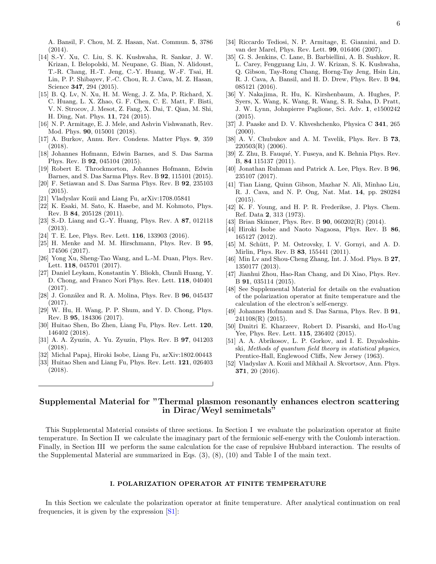A. Bansil, F. Chou, M. Z. Hasan, Nat. Commun. 5, 3786 (2014).

- [14] S.-Y. Xu, C. Liu, S. K. Kushwaha, R. Sankar, J. W. Krizan, I. Belopolski, M. Neupane, G. Bian, N. Alidoust, T.-R. Chang, H.-T. Jeng, C.-Y. Huang, W.-F. Tsai, H. Lin, P. P. Shibayev, F.-C. Chou, R. J. Cava, M. Z. Hasan, Science 347, 294 (2015).
- [15] B. Q. Lv, N. Xu, H. M. Weng, J. Z. Ma, P. Richard, X. C. Huang, L. X. Zhao, G. F. Chen, C. E. Matt, F. Bisti, V. N. Strocov, J. Mesot, Z. Fang, X. Dai, T. Qian, M. Shi, H. Ding, Nat. Phys. 11, 724 (2015).
- [16] N. P. Armitage, E. J. Mele, and Ashvin Vishwanath, Rev. Mod. Phys. 90, 015001 (2018).
- [17] A. Burkov, Annu. Rev. Condens. Matter Phys. 9, 359 (2018).
- [18] Johannes Hofmann, Edwin Barnes, and S. Das Sarma Phys. Rev. B 92, 045104 (2015).
- [19] Robert E. Throckmorton, Johannes Hofmann, Edwin Barnes, and S. Das Sarma Phys. Rev. B 92, 115101 (2015).
- [20] F. Setiawan and S. Das Sarma Phys. Rev. B 92, 235103 (2015).
- [21] Vladyslav Kozii and Liang Fu, arXiv:1708.05841
- [22] K. Esaki, M. Sato, K. Hasebe, and M. Kohmoto, Phys. Rev. B 84, 205128 (2011).
- [23] S.-D. Liang and G.-Y. Huang, Phys. Rev. A 87, 012118 (2013).
- [24] T. E. Lee, Phys. Rev. Lett. 116, 133903 (2016).
- [25] H. Menke and M. M. Hirschmann, Phys. Rev. B 95, 174506 (2017).
- [26] Yong Xu, Sheng-Tao Wang, and L.-M. Duan, Phys. Rev. Lett. 118, 045701 (2017).
- [27] Daniel Leykam, Konstantin Y. Bliokh, Chunli Huang, Y. D. Chong, and Franco Nori Phys. Rev. Lett. 118, 040401  $(2017)$ .
- [28] J. González and R. A. Molina, Phys. Rev. B **96**, 045437 (2017).
- [29] W. Hu, H. Wang, P. P. Shum, and Y. D. Chong, Phys. Rev. B 95, 184306 (2017).
- [30] Huitao Shen, Bo Zhen, Liang Fu, Phys. Rev. Lett. 120, 146402 (2018).
- [31] A. A. Zyuzin, A. Yu. Zyuzin, Phys. Rev. B 97, 041203 (2018).
- [32] Michal Papaj, Hiroki Isobe, Liang Fu, arXiv:1802.00443
- [33] Huitao Shen and Liang Fu, Phys. Rev. Lett. **121**, 026403 (2018).
- [34] Riccardo Tediosi, N. P. Armitage, E. Giannini, and D. van der Marel, Phys. Rev. Lett. 99, 016406 (2007).
- [35] G. S. Jenkins, C. Lane, B. Barbiellini, A. B. Sushkov, R. L. Carey, Fengguang Liu, J. W. Krizan, S. K. Kushwaha, Q. Gibson, Tay-Rong Chang, Horng-Tay Jeng, Hsin Lin, R. J. Cava, A. Bansil, and H. D. Drew, Phys. Rev. B 94, 085121 (2016).
- [36] Y. Nakajima, R. Hu, K. Kirshenbaum, A. Hughes, P. Syers, X. Wang, K. Wang, R. Wang, S. R. Saha, D. Pratt, J. W. Lynn, Johnpierre Paglione, Sci. Adv. 1, e1500242 (2015).
- [37] J. Paaske and D. V. Khveshchenko, Physica C 341, 265  $(2000).$
- [38] A. V. Chubukov and A. M. Tsvelik, Phys. Rev. B 73, 220503(R) (2006).
- [39] Z. Zhu, B. Fauqué, Y. Fuseya, and K. Behnia Phys. Rev. B, 84 115137 (2011).
- [40] Jonathan Ruhman and Patrick A. Lee, Phys. Rev. B 96, 235107 (2017).
- [41] Tian Liang, Quinn Gibson, Mazhar N. Ali, Minhao Liu, R. J. Cava, and N. P. Ong, Nat. Mat. 14, pp. 280284 (2015).
- [42] K. F. Young, and H. P. R. Frederikse, J. Phys. Chem. Ref. Data 2, 313 (1973).
- [43] Brian Skinner, Phys. Rev. B **90**, 060202(R) (2014).
- [44] Hiroki Isobe and Naoto Nagaosa, Phys. Rev. B 86, 165127 (2012).
- [45] M. Schütt, P. M. Ostrovsky, I. V. Gornyi, and A. D. Mirlin, Phys. Rev. B 83, 155441 (2011).
- [46] Min Lv and Shou-Cheng Zhang, Int. J. Mod. Phys. B 27, 1350177 (2013).
- [47] Jianhui Zhou, Hao-Ran Chang, and Di Xiao, Phys. Rev. B 91, 035114 (2015).
- [48] See Supplemental Material for details on the evaluation of the polarization operator at finite temperature and the calculation of the electron's self-energy.
- [49] Johannes Hofmann and S. Das Sarma, Phys. Rev. B 91, 241108(R) (2015).
- [50] Dmitri E. Kharzeev, Robert D. Pisarski, and Ho-Ung Yee, Phys. Rev. Lett. 115, 236402 (2015).
- [51] A. A. Abrikosov, L. P. Gorkov, and I. E. Dzyaloshinski, Methods of quantum field theory in statistical physics, Prentice-Hall, Englewood Cliffs, New Jersey (1963).
- [52] Vladyslav A. Kozii and Mikhail A. Skvortsov, Ann. Phys. 371, 20 (2016).

# Supplemental Material for "Thermal plasmon resonantly enhances electron scattering in Dirac/Weyl semimetals"

This Supplemental Material consists of three sections. In Section I we evaluate the polarization operator at finite temperature. In Section II we calculate the imaginary part of the fermionic self-energy with the Coulomb interaction. Finally, in Section III we perform the same calculation for the case of repulsive Hubbard interaction. The results of the Supplemental Material are summarized in Eqs.  $(3)$ ,  $(8)$ ,  $(10)$  and Table I of the main text.

## I. POLARIZATION OPERATOR AT FINITE TEMPERATURE

In this Section we calculate the polarization operator at finite temperature. After analytical continuation on real frequencies, it is given by the expression  $[S_1]$ :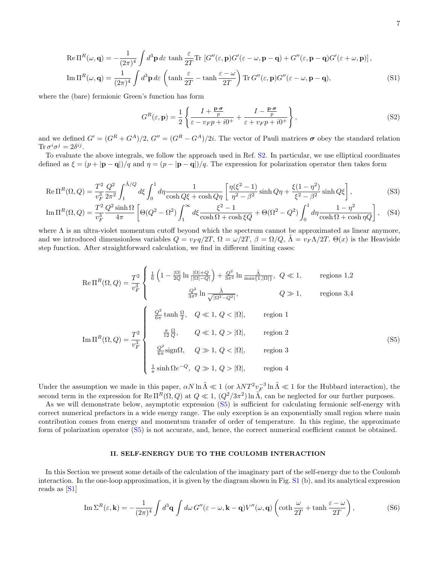$$
\operatorname{Re}\Pi^{R}(\omega,\mathbf{q}) = -\frac{1}{(2\pi)^{4}} \int d^{3}\mathbf{p} \, d\varepsilon \, \tanh\frac{\varepsilon}{2T} \operatorname{Tr}\left[G''(\varepsilon,\mathbf{p})G'(\varepsilon-\omega,\mathbf{p}-\mathbf{q}) + G''(\varepsilon,\mathbf{p}-\mathbf{q})G'(\varepsilon+\omega,\mathbf{p})\right],
$$
  
\n
$$
\operatorname{Im}\Pi^{R}(\omega,\mathbf{q}) = \frac{1}{(2\pi)^{4}} \int d^{3}\mathbf{p} \, d\varepsilon \left(\tanh\frac{\varepsilon}{2T} - \tanh\frac{\varepsilon-\omega}{2T}\right) \operatorname{Tr} G''(\varepsilon,\mathbf{p})G''(\varepsilon-\omega,\mathbf{p}-\mathbf{q}),
$$
\n(S1)

where the (bare) fermionic Green's function has form

$$
G^{R}(\varepsilon, \mathbf{p}) = \frac{1}{2} \left\{ \frac{I + \frac{\mathbf{p} \cdot \sigma}{p}}{\varepsilon - v_{F} p + i0^{+}} + \frac{I - \frac{\mathbf{p} \cdot \sigma}{p}}{\varepsilon + v_{F} p + i0^{+}} \right\},\tag{S2}
$$

and we defined  $G' = (G^R + G^A)/2$ ,  $G'' = (G^R - G^A)/2i$ . The vector of Pauli matrices  $\sigma$  obey the standard relation Tr  $\sigma^i \sigma^j = 2\delta^{ij}$ .

To evaluate the above integrals, we follow the approach used in Ref. S2. In particular, we use elliptical coordinates defined as  $\xi = (p + |\mathbf{p} - \mathbf{q}|)/q$  and  $\eta = (p - |\mathbf{p} - \mathbf{q}|)/q$ . The expression for polarization operator then takes form

$$
\text{Re } \Pi^{R}(\Omega, Q) = \frac{T^{2}}{v_{F}^{3}} \frac{Q^{2}}{2\pi^{2}} \int_{1}^{\tilde{\Lambda}/Q} d\xi \int_{0}^{1} d\eta \frac{1}{\cosh Q\xi + \cosh Q\eta} \left[ \frac{\eta(\xi^{2} - 1)}{\eta^{2} - \beta^{2}} \sinh Q\eta + \frac{\xi(1 - \eta^{2})}{\xi^{2} - \beta^{2}} \sinh Q\xi \right], \tag{S3}
$$

$$
\operatorname{Im} \Pi^{R}(\Omega, Q) = \frac{T^{2}}{v_{F}^{3}} \frac{Q^{2} \sinh \Omega}{4\pi} \left[ \Theta(Q^{2} - \Omega^{2}) \int_{1}^{\infty} d\xi \frac{\xi^{2} - 1}{\cosh \Omega + \cosh \xi Q} + \Theta(\Omega^{2} - Q^{2}) \int_{0}^{1} d\eta \frac{1 - \eta^{2}}{\cosh \Omega + \cosh \eta Q} \right], \quad (S4)
$$

where  $\Lambda$  is an ultra-violet momentum cutoff beyond which the spectrum cannot be approximated as linear anymore, and we introduced dimensionless variables  $Q = v_F q/2T$ ,  $\Omega = \omega/2T$ ,  $\beta = \Omega/Q$ ,  $\Lambda = v_F \Lambda/2T$ .  $\Theta(x)$  is the Heaviside step function. After straightforward calculation, we find in different limiting cases:

$$
\operatorname{Re}\Pi^{R}(\Omega,Q) = \frac{T^{2}}{v_{F}^{3}} \begin{cases} \frac{1}{6} \left(1 - \frac{|\Omega|}{2Q} \ln \frac{|\Omega| + Q}{|\Omega| - Q|} \right) + \frac{Q^{2}}{3\pi^{2}} \ln \frac{\tilde{\Lambda}}{\max\{1, |\Omega|\}}, & Q \ll 1, \end{cases}
$$
 regions 1,2  

$$
\frac{Q^{2}}{3\pi^{2}} \ln \frac{\tilde{\Lambda}}{\sqrt{|\Omega^{2} - Q^{2}|}}, \qquad Q \gg 1,
$$
 regions 3,4

$$
\operatorname{Im} \Pi^{R}(\Omega, Q) = \frac{T^{2}}{v_{F}^{3}} \begin{cases} \frac{Q^{2}}{6\pi} \tanh \frac{\Omega}{2}, & Q \ll 1, Q < |\Omega|, & \text{region 1} \\ \frac{\pi}{12} \frac{\Omega}{Q}, & Q \ll 1, Q > |\Omega|, & \text{region 2} \\ \frac{Q^{2}}{6\pi} \text{sign}\Omega, & Q \gg 1, Q < |\Omega|, & \text{region 3} \\ \frac{1}{\pi} \sinh \Omega e^{-Q}, & Q \gg 1, Q > |\Omega|, & \text{region 4} \end{cases}
$$
(S5)

Under the assumption we made in this paper,  $\alpha N \ln \tilde{\Lambda} \ll 1$  (or  $\lambda N T^2 v_F^{-3} \ln \tilde{\Lambda} \ll 1$  for the Hubbard interaction), the second term in the expression for Re  $\Pi^R(\Omega,Q)$  at  $Q \ll 1$ ,  $(Q^2/3\pi^2) \ln \tilde{\Lambda}$ , can be neglected for our further purposes.

As we will demonstrate below, asymptotic expression (S5) is sufficient for calculating fermionic self-energy with correct numerical prefactors in a wide energy range. The only exception is an exponentially small region where main contribution comes from energy and momentum transfer of order of temperature. In this regime, the approximate form of polarization operator (S5) is not accurate, and, hence, the correct numerical coefficient cannot be obtained.

#### II. SELF-ENERGY DUE TO THE COULOMB INTERACTION

In this Section we present some details of the calculation of the imaginary part of the self-energy due to the Coulomb interaction. In the one-loop approximation, it is given by the diagram shown in Fig. S1 (b), and its analytical expression reads as [S1]

$$
\operatorname{Im} \Sigma^{R}(\varepsilon, \mathbf{k}) = -\frac{1}{(2\pi)^{4}} \int d^{3} \mathbf{q} \int d\omega G''(\varepsilon - \omega, \mathbf{k} - \mathbf{q}) V''(\omega, \mathbf{q}) \left( \coth \frac{\omega}{2T} + \tanh \frac{\varepsilon - \omega}{2T} \right),\tag{S6}
$$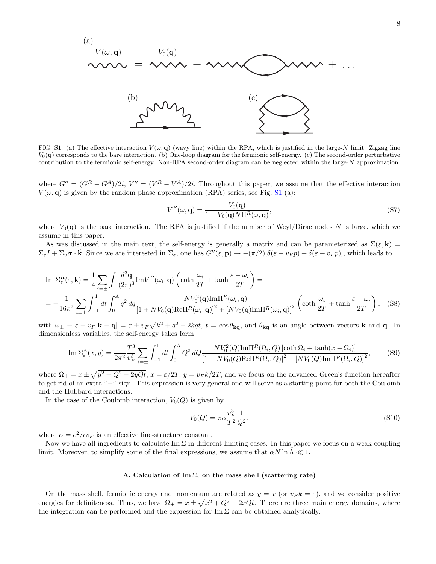

FIG. S1. (a) The effective interaction  $V(\omega, \mathbf{q})$  (wavy line) within the RPA, which is justified in the large-N limit. Zigzag line  $V_0(\mathbf{q})$  corresponds to the bare interaction. (b) One-loop diagram for the fermionic self-energy. (c) The second-order perturbative contribution to the fermionic self-energy. Non-RPA second-order diagram can be neglected within the large-N approximation.

where  $G'' = (G^R - G^A)/2i$ ,  $V'' = (V^R - V^A)/2i$ . Throughout this paper, we assume that the effective interaction  $V(\omega, \mathbf{q})$  is given by the random phase approximation (RPA) series, see Fig. S1 (a):

$$
V^{R}(\omega, \mathbf{q}) = \frac{V_0(\mathbf{q})}{1 + V_0(\mathbf{q}) N \Pi^R(\omega, \mathbf{q})},
$$
\n(S7)

where  $V_0(\mathbf{q})$  is the bare interaction. The RPA is justified if the number of Weyl/Dirac nodes N is large, which we assume in this paper.

As was discussed in the main text, the self-energy is generally a matrix and can be parameterized as  $\Sigma(\varepsilon, \mathbf{k}) =$  $\Sigma_{\varepsilon}I + \Sigma_{v}\sigma \cdot \hat{k}$ . Since we are interested in  $\Sigma_{\varepsilon}$ , one has  $G''(\varepsilon, \mathbf{p}) \to -(\pi/2)[\delta(\varepsilon - v_F p) + \delta(\varepsilon + v_F p)]$ , which leads to

$$
\mathrm{Im}\,\Sigma_{\varepsilon}^{R}(\varepsilon,\mathbf{k}) = \frac{1}{4} \sum_{i=\pm} \int \frac{d^{3}\mathbf{q}}{(2\pi)^{3}} \mathrm{Im}V^{R}(\omega_{i},\mathbf{q}) \left(\coth\frac{\omega_{i}}{2T} + \tanh\frac{\varepsilon - \omega_{i}}{2T}\right) =
$$
\n
$$
= -\frac{1}{16\pi^{2}} \sum_{i=\pm} \int_{-1}^{1} dt \int_{0}^{\Lambda} q^{2} dq \frac{N V_{0}^{2}(\mathbf{q}) \mathrm{Im}\Pi^{R}(\omega_{i},\mathbf{q})}{\left[1 + N V_{0}(\mathbf{q}) \mathrm{Re}\Pi^{R}(\omega_{i},\mathbf{q})\right]^{2} + \left[N V_{0}(\mathbf{q}) \mathrm{Im}\Pi^{R}(\omega_{i},\mathbf{q})\right]^{2}} \left(\coth\frac{\omega_{i}}{2T} + \tanh\frac{\varepsilon - \omega_{i}}{2T}\right), \quad (S8)
$$

with  $\omega_{\pm} \equiv \varepsilon \pm v_F |\mathbf{k} - \mathbf{q}| = \varepsilon \pm v_F \sqrt{k^2 + q^2 - 2kq t}$ ,  $t = \cos \theta_{\mathbf{kq}}$ , and  $\theta_{\mathbf{kq}}$  is an angle between vectors **k** and **q**. In dimensionless variables, the self-energy takes form

$$
\operatorname{Im} \Sigma_{\varepsilon}^{A}(x, y) = \frac{1}{2\pi^{2}} \frac{T^{3}}{v_{F}^{3}} \sum_{i=\pm} \int_{-1}^{1} dt \int_{0}^{\tilde{\Lambda}} Q^{2} dQ \frac{N V_{0}^{2}(Q) \operatorname{Im} \Pi^{R}(\Omega_{i}, Q) \left[\coth \Omega_{i} + \tanh(x - \Omega_{i})\right]}{\left[1 + N V_{0}(Q) \operatorname{Re} \Pi^{R}(\Omega_{i}, Q)\right]^{2} + \left[N V_{0}(Q) \operatorname{Im} \Pi^{R}(\Omega_{i}, Q)\right]^{2}},
$$
\n(S9)

where  $\Omega_{\pm} = x \pm \sqrt{y^2 + Q^2 - 2yQt}$ ,  $x = \varepsilon/2T$ ,  $y = v_F k/2T$ , and we focus on the advanced Green's function hereafter to get rid of an extra "−" sign. This expression is very general and will serve as a starting point for both the Coulomb and the Hubbard interactions.

In the case of the Coulomb interaction,  $V_0(Q)$  is given by

$$
V_0(Q) = \pi \alpha \frac{v_F^3}{T^2} \frac{1}{Q^2},\tag{S10}
$$

where  $\alpha = e^2/\epsilon v_F$  is an effective fine-structure constant.

Now we have all ingredients to calculate Im  $\Sigma$  in different limiting cases. In this paper we focus on a weak-coupling limit. Moreover, to simplify some of the final expressions, we assume that  $\alpha N \ln \Lambda \ll 1$ .

#### A. Calculation of  $\text{Im }\Sigma_{\varepsilon}$  on the mass shell (scattering rate)

On the mass shell, fermionic energy and momentum are related as  $y = x$  (or  $v_F k = \varepsilon$ ), and we consider positive energies for definiteness. Thus, we have  $\Omega_{\pm} = x \pm \sqrt{x^2 + Q^2 - 2xQt}$ . There are three main energy domains, where the integration can be performed and the expression for  $\text{Im }\Sigma$  can be obtained analytically.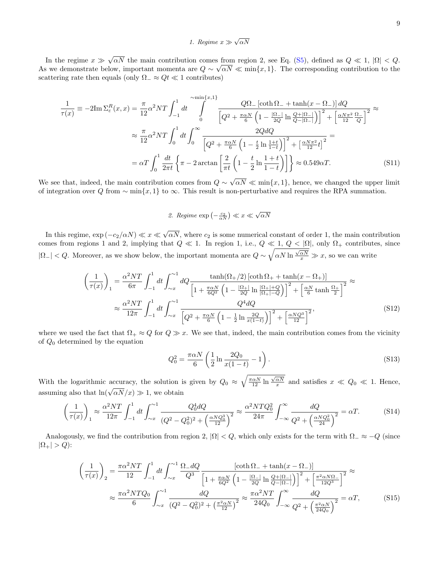# 1. Regime  $x \gg \sqrt{\alpha N}$

In the regime  $x \gg$ √  $\alpha N$  the main contribution comes from region 2, see Eq. (S5), defined as  $Q \ll 1$ ,  $|\Omega| < Q$ . As we demonstrate below, important momenta are  $Q \sim \sqrt{\alpha N} \ll \min\{x, 1\}$ . The corresponding contribution to the scattering rate then equals (only  $\Omega_{-} \approx Qt \ll 1$  contributes)

$$
\frac{1}{\tau(x)} \equiv -2\mathrm{Im}\,\Sigma_{\varepsilon}^{R}(x,x) = \frac{\pi}{12}\alpha^{2}NT \int_{-1}^{1} dt \int_{0}^{\infty} \frac{Q\Omega_{-}\left[\coth\Omega_{-} + \tanh(x-\Omega_{-})\right]dQ}{\left[Q^{2} + \frac{\pi\alpha N}{6}\left(1 - \frac{|\Omega_{-}|}{2Q}\ln\frac{Q+|\Omega_{-}|}{Q-|\Omega_{-}|}\right)\right]^{2} + \left[\frac{\alpha N\pi^{2}}{12}\frac{\Omega_{-}|}{Q}\right]^{2}}
$$

$$
\approx \frac{\pi}{12}\alpha^{2}NT \int_{0}^{1} dt \int_{0}^{\infty} \frac{2QdQ}{\left[Q^{2} + \frac{\pi\alpha N}{6}\left(1 - \frac{t}{2}\ln\frac{1+t}{1-t}\right)\right]^{2} + \left[\frac{\alpha N\pi^{2}}{12}t\right]^{2}} =
$$

$$
= \alpha T \int_{0}^{1} \frac{dt}{2\pi t} \left\{\pi - 2\arctan\left[\frac{2}{\pi t}\left(1 - \frac{t}{2}\ln\frac{1+t}{1-t}\right)\right]\right\} \approx 0.549\alpha T.
$$
(S11)

We see that, indeed, the main contribution comes from  $Q \sim$  $\alpha N \ll \min\{x, 1\}$ , hence, we changed the upper limit of integration over Q from  $\sim \min\{x, 1\}$  to  $\infty$ . This result is non-perturbative and requires the RPA summation.

2. *Regime* exp 
$$
\left(-\frac{c_2}{\alpha N}\right) \ll x \ll \sqrt{\alpha N}
$$

In this regime,  $\exp(-c_2/\alpha N) \ll x \ll$ √  $\alpha N$ , where  $c_2$  is some numerical constant of order 1, the main contribution comes from regions 1 and 2, implying that  $Q \ll 1$ . In region 1, i.e.,  $Q \ll 1$ ,  $Q < |\Omega|$ , only  $\Omega_+$  contributes, since  $|\Omega_-| < Q$ . Moreover, as we show below, the important momenta are  $Q \sim \sqrt{\alpha N \ln \frac{\sqrt{\alpha N}}{x}} \gg x$ , so we can write

$$
\left(\frac{1}{\tau(x)}\right)_1 = \frac{\alpha^2 NT}{6\pi} \int_{-1}^1 dt \int_{\sim x}^{\sim 1} dQ \frac{\tanh(\Omega_+/2) \left[\coth \Omega_+ + \tanh(x - \Omega_+)\right]}{\left[1 + \frac{\pi \alpha N}{6Q^2} \left(1 - \frac{|\Omega_+|}{2Q} \ln \frac{|\Omega_+|+Q}{|\Omega_+|-Q}\right)\right]^2 + \left[\frac{\alpha N}{6} \tanh \frac{\Omega_+}{2}\right]^2} \approx
$$
\n
$$
\approx \frac{\alpha^2 NT}{12\pi} \int_{-1}^1 dt \int_{\sim x}^{\sim 1} \frac{Q^4 dQ}{\left[Q^2 + \frac{\pi \alpha N}{6} \left(1 - \frac{1}{2} \ln \frac{2Q}{x(1-t)}\right)\right]^2 + \left[\frac{\alpha N Q^3}{12}\right]^2},\tag{S12}
$$

where we used the fact that  $\Omega_+ \approx Q$  for  $Q \gg x$ . We see that, indeed, the main contribution comes from the vicinity of  $Q_0$  determined by the equation

$$
Q_0^2 = \frac{\pi \alpha N}{6} \left( \frac{1}{2} \ln \frac{2Q_0}{x(1-t)} - 1 \right).
$$
 (S13)

With the logarithmic accuracy, the solution is given by  $Q_0 \approx \sqrt{\frac{\pi \alpha N}{12} \ln \frac{\sqrt{\alpha N}}{x}}$  and satisfies  $x \ll Q_0 \ll 1$ . Hence, assuming also that  $\ln(\sqrt{\alpha N}/x) \gg 1$ , we obtain

$$
\left(\frac{1}{\tau(x)}\right)_1 \approx \frac{\alpha^2 NT}{12\pi} \int_{-1}^1 dt \int_{\sim x}^{\sim 1} \frac{Q_0^4 dQ}{(Q^2 - Q_0^2)^2 + \left(\frac{\alpha N Q_0^3}{12}\right)^2} \approx \frac{\alpha^2 NT Q_0^2}{24\pi} \int_{-\infty}^{\infty} \frac{dQ}{Q^2 + \left(\frac{\alpha N Q_0^2}{24}\right)^2} = \alpha T. \tag{S14}
$$

Analogously, we find the contribution from region 2,  $|\Omega| < Q$ , which only exists for the term with  $\Omega_{-} \approx -Q$  (since  $|\Omega_+| > Q$ :

$$
\left(\frac{1}{\tau(x)}\right)_2 = \frac{\pi\alpha^2 NT}{12} \int_{-1}^1 dt \int_{\sim x}^{\sim 1} \frac{\Omega_d Q}{Q^3} \frac{\left[\coth \Omega_- + \tanh(x - \Omega_-)\right]}{\left[1 + \frac{\pi\alpha N}{6Q^2} \left(1 - \frac{|\Omega_-|}{2Q} \ln \frac{Q + |\Omega_-|}{Q - |\Omega_-|}\right)\right]^2 + \left[\frac{\pi^2\alpha N\Omega_-}{12Q^3}\right]^2} \approx \frac{\pi\alpha^2 NTQ_0}{6} \int_{\sim x}^{\sim 1} \frac{dQ}{(Q^2 - Q_0^2)^2 + \left(\frac{\pi^2\alpha N}{12}\right)^2} \approx \frac{\pi\alpha^2 NT}{24Q_0} \int_{-\infty}^{\infty} \frac{dQ}{Q^2 + \left(\frac{\pi^2\alpha N}{24Q_0}\right)^2} = \alpha T,
$$
\n(S15)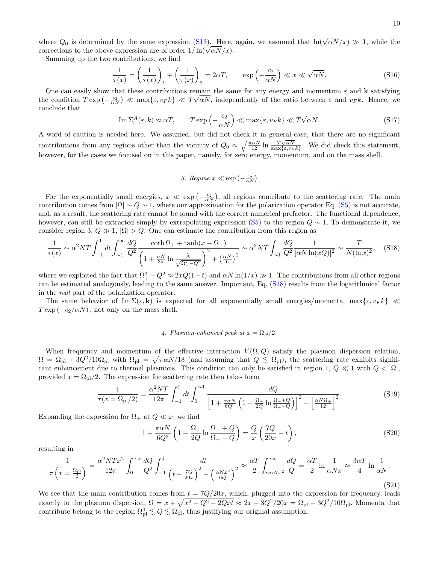where  $Q_0$  is determined by the same expression (S13). Here, again, we assumed that  $\ln(\sqrt{\alpha N}/x) \gg 1$ , while the where  $Q_0$  is determined by the same expression (S13). Here,<br>corrections to the above expression are of order  $1/\ln(\sqrt{\alpha N}/x)$ .

Summing up the two contributions, we find

$$
\frac{1}{\tau(x)} = \left(\frac{1}{\tau(x)}\right)_1 + \left(\frac{1}{\tau(x)}\right)_2 = 2\alpha T, \qquad \exp\left(-\frac{c_2}{\alpha N}\right) \ll x \ll \sqrt{\alpha N}.
$$
\n<sup>(S16)</sup>

One can easily show that these contributions remain the same for any energy and momentum  $\varepsilon$  and **k** satisfying the condition  $T \exp \left(-\frac{c_2}{\alpha N}\right) \ll \max\{\varepsilon, v_F k\} \ll T\sqrt{\alpha N}$ , independently of the ratio between  $\varepsilon$  and  $v_F k$ . Hence, we conclude that

$$
\operatorname{Im} \Sigma_{\varepsilon}^{A}(\varepsilon, k) \approx \alpha T, \qquad T \exp\left(-\frac{c_2}{\alpha N}\right) \ll \max\{\varepsilon, v_F k\} \ll T\sqrt{\alpha N}.
$$
\n
$$
(S17)
$$

A word of caution is needed here. We assumed, but did not check it in general case, that there are no significant contributions from any regions other than the vicinity of  $Q_0 \approx \sqrt{\frac{\pi \alpha N}{12} \ln \frac{T \sqrt{\alpha N}}{\max\{\varepsilon, v_F k\}}}$ . We did check this statement, however, for the cases we focused on in this paper, namely, for zero energy, momentum, and on the mass shell.

3. *Regime* 
$$
x \ll \exp\left(-\frac{c_2}{\alpha N}\right)
$$

For the exponentially small energies,  $x \ll \exp(-\frac{c_2}{\alpha N})$ , all regions contribute to the scattering rate. The main contribution comes from  $|\Omega| \sim Q \sim 1$ , where our approximation for the polarization operator Eq. (S5) is not accurate, and, as a result, the scattering rate cannot be found with the correct numerical prefactor. The functional dependence, however, can still be extracted simply by extrapolating expression (S5) to the region  $Q \sim 1$ . To demonstrate it, we consider region 3,  $Q \gg 1$ ,  $|\Omega| > Q$ . One can estimate the contribution from this region as

$$
\frac{1}{\tau(x)} \sim \alpha^2 NT \int_{-1}^1 dt \int_{\sim 1}^\infty \frac{dQ}{Q^2} \frac{\coth \Omega_+ + \tanh(x - \Omega_+)}{\left(1 + \frac{\alpha N}{3\pi} \ln \frac{\tilde{\Lambda}}{\sqrt{\Omega_+^2 - Q^2}}\right)^2 + \left(\frac{\alpha N}{6}\right)^2} \sim \alpha^2 NT \int_{\sim 1} \frac{dQ}{Q^2} \frac{1}{[\alpha N \ln(xQ)]^2} \sim \frac{T}{N(\ln x)^2},
$$
(S18)

where we exploited the fact that  $\Omega_+^2 - Q^2 \approx 2xQ(1-t)$  and  $\alpha N \ln(1/x) \gg 1$ . The contributions from all other regions can be estimated analogously, leading to the same answer. Important, Eq. (S18) results from the logarithmical factor in the real part of the polarization operator.

The same behavior of  $\text{Im }\Sigma(\varepsilon, \mathbf{k})$  is expected for all exponentially small energies/momenta,  $\max{\varepsilon, v_F k} \ll$  $T \exp(-c_2/\alpha N)$ , not only on the mass shell.

## 4. Plasmon-enhanced peak at  $x = \Omega_{pl}/2$

When frequency and momentum of the effective interaction  $V(\Omega, Q)$  satisfy the plasmon dispersion relation,  $\Omega = \Omega_{\text{pl}} + 3Q^2/10\Omega_{\text{pl}}$  with  $\Omega_{\text{pl}} = \sqrt{\pi \alpha N/18}$  (and assuming that  $Q \leq \Omega_{\text{pl}}$ ), the scattering rate exhibits significant enhancement due to thermal plasmons. This condition can only be satisfied in region 1,  $Q \ll 1$  with  $Q < |\Omega|$ , provided  $x = \Omega_{\text{pl}}/2$ . The expression for scattering rate then takes form

$$
\frac{1}{\tau(x = \Omega_{\rm pl}/2)} = \frac{\alpha^2 NT}{12\pi} \int_{-1}^{1} dt \int_{0}^{\infty} \frac{dQ}{\left[1 + \frac{\pi \alpha N}{6Q^2} \left(1 - \frac{\Omega_{+}}{2Q} \ln \frac{\Omega_{+} + Q}{\Omega_{+} - Q}\right)\right]^2 + \left[\frac{\alpha N \Omega_{+}}{12}\right]^2}.
$$
(S19)

Expanding the expression for  $\Omega_+$  at  $Q \ll x$ , we find

$$
1 + \frac{\pi \alpha N}{6Q^2} \left( 1 - \frac{\Omega_+}{2Q} \ln \frac{\Omega_+ + Q}{\Omega_+ - Q} \right) = \frac{Q}{x} \left( \frac{7Q}{20x} - t \right),\tag{S20}
$$

resulting in

$$
\frac{1}{\tau \left(x = \frac{\Omega_{\rm pl}}{2}\right)} = \frac{\alpha^2 N T x^2}{12\pi} \int_0^{\infty} \frac{dQ}{Q^2} \int_{-1}^1 \frac{dt}{\left(t - \frac{7Q}{20x}\right)^2 + \left(\frac{\alpha N x^2}{6Q}\right)^2} \approx \frac{\alpha T}{2} \int_{\infty}^{\infty} \frac{dQ}{Q} = \frac{\alpha T}{2} \ln \frac{1}{\alpha N x} \approx \frac{3\alpha T}{4} \ln \frac{1}{\alpha N}.\tag{S21}
$$

We see that the main contribution comes from  $t = \frac{7Q}{20x}$ , which, plugged into the expression for frequency, leads exactly to the plasmon dispersion,  $\Omega = x + \sqrt{x^2 + Q^2 - 2Qxt} \approx 2x + 3Q^2/20x = \Omega_{\text{pl}} + 3Q^2/10\Omega_{\text{pl}}$ . Momenta that contribute belong to the region  $\Omega_{\text{pl}}^4 \lesssim Q \lesssim \Omega_{\text{pl}}$ , thus justifying our original assumption.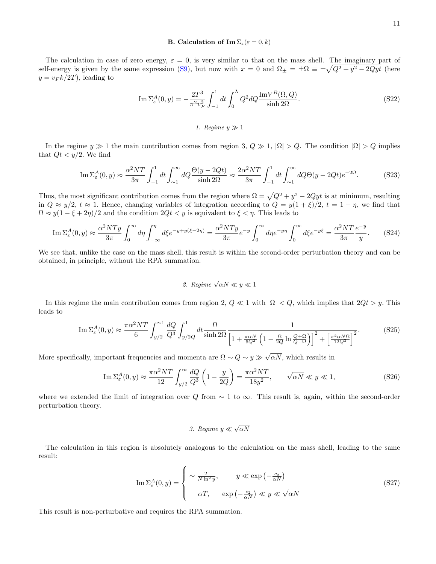## **B.** Calculation of  $\text{Im }\Sigma_{\varepsilon}(\varepsilon=0,k)$

The calculation in case of zero energy,  $\varepsilon = 0$ , is very similar to that on the mass shell. The imaginary part of self-energy is given by the same expression (S9), but now with  $x = 0$  and  $\Omega_{\pm} = \pm \Omega = \pm \sqrt{Q^2 + y^2 - 2Qyt}$  (here  $y = v_F k/2T$ , leading to

$$
\operatorname{Im} \Sigma_{\varepsilon}^{A}(0, y) = -\frac{2T^3}{\pi^2 v_F^3} \int_{-1}^{1} dt \int_0^{\tilde{\Lambda}} Q^2 dQ \frac{\operatorname{Im} V^R(\Omega, Q)}{\sinh 2\Omega}.
$$
 (S22)

#### 1. Regime  $y \gg 1$

In the regime  $y \gg 1$  the main contribution comes from region 3,  $Q \gg 1$ ,  $|\Omega| > Q$ . The condition  $|\Omega| > Q$  implies that  $Qt < y/2$ . We find

$$
\operatorname{Im}\Sigma_{\varepsilon}^{A}(0,y) \approx \frac{\alpha^2 NT}{3\pi} \int_{-1}^{1} dt \int_{\sim 1}^{\infty} dQ \frac{\Theta(y - 2Qt)}{\sinh 2\Omega} \approx \frac{2\alpha^2 NT}{3\pi} \int_{-1}^{1} dt \int_{\sim 1}^{\infty} dQ \Theta(y - 2Qt) e^{-2\Omega}.
$$
 (S23)

Thus, the most significant contribution comes from the region where  $\Omega = \sqrt{Q^2 + y^2 - 2Qyt}$  is at minimum, resulting in  $Q \approx y/2$ ,  $t \approx 1$ . Hence, changing variables of integration according to  $Q = y(1 + \xi)/2$ ,  $t = 1 - \eta$ , we find that  $\Omega \approx y(1 - \xi + 2\eta)/2$  and the condition  $2Qt < y$  is equivalent to  $\xi < \eta$ . This leads to

$$
\operatorname{Im}\Sigma_{\varepsilon}^{A}(0,y) \approx \frac{\alpha^{2}NTy}{3\pi} \int_{0}^{\infty} d\eta \int_{-\infty}^{\eta} d\xi e^{-y+y(\xi-2\eta)} = \frac{\alpha^{2}NTy}{3\pi} e^{-y} \int_{0}^{\infty} d\eta e^{-y\eta} \int_{0}^{\infty} d\xi e^{-y\xi} = \frac{\alpha^{2}NT}{3\pi} \frac{e^{-y}}{y}.
$$
 (S24)

We see that, unlike the case on the mass shell, this result is within the second-order perturbation theory and can be obtained, in principle, without the RPA summation.

2. *Regime* 
$$
\sqrt{\alpha N} \ll y \ll 1
$$

In this regime the main contribution comes from region 2,  $Q \ll 1$  with  $|\Omega| < Q$ , which implies that  $2Qt > y$ . This leads to

$$
\operatorname{Im}\Sigma_{\varepsilon}^{A}(0,y) \approx \frac{\pi\alpha^{2}NT}{6} \int_{y/2}^{\infty} \frac{dQ}{Q^3} \int_{y/2Q}^{1} dt \frac{\Omega}{\sinh 2\Omega} \frac{1}{\left[1 + \frac{\pi\alpha N}{6Q^2} \left(1 - \frac{\Omega}{2Q} \ln \frac{Q+\Omega}{Q-\Omega}\right)\right]^2 + \left[\frac{\pi^2\alpha N\Omega}{12Q^3}\right]^2}.
$$
 (S25)

More specifically, important frequencies and momenta are  $\Omega \sim Q \sim y \gg$ √  $\alpha N$ , which results in

$$
\operatorname{Im}\Sigma^A_{\varepsilon}(0,y) \approx \frac{\pi\alpha^2 NT}{12} \int_{y/2}^{\infty} \frac{dQ}{Q^3} \left(1 - \frac{y}{2Q}\right) = \frac{\pi\alpha^2 NT}{18y^2}, \qquad \sqrt{\alpha N} \ll y \ll 1,
$$
\n(S26)

where we extended the limit of integration over Q from  $\sim 1$  to  $\infty$ . This result is, again, within the second-order perturbation theory.

# 3. Regime  $y \ll \sqrt{\alpha N}$

The calculation in this region is absolutely analogous to the calculation on the mass shell, leading to the same result:

$$
\operatorname{Im} \Sigma_{\varepsilon}^{A}(0, y) = \begin{cases} \sim \frac{T}{N \ln^2 y}, & y \ll \exp\left(-\frac{c_2}{\alpha N}\right) \\ \alpha T, & \exp\left(-\frac{c_2}{\alpha N}\right) \ll y \ll \sqrt{\alpha N} \end{cases}
$$
(S27)

This result is non-perturbative and requires the RPA summation.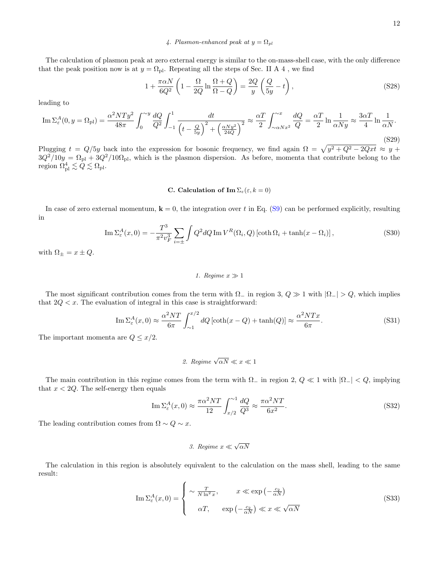## 4. Plasmon-enhanced peak at  $y = \Omega_{pl}$

The calculation of plasmon peak at zero external energy is similar to the on-mass-shell case, with the only difference that the peak position now is at  $y = \Omega_{\text{pl}}$ . Repeating all the steps of Sec. II A 4, we find

$$
1 + \frac{\pi \alpha N}{6Q^2} \left( 1 - \frac{\Omega}{2Q} \ln \frac{\Omega + Q}{\Omega - Q} \right) = \frac{2Q}{y} \left( \frac{Q}{5y} - t \right),\tag{S28}
$$

leading to

$$
\operatorname{Im}\Sigma_{\varepsilon}^{A}(0,y=\Omega_{\text{pl}})=\frac{\alpha^{2}NTy^{2}}{48\pi}\int_{0}^{\infty} \frac{dQ}{Q^{2}}\int_{-1}^{1} \frac{dt}{\left(t-\frac{Q}{5y}\right)^{2}+\left(\frac{\alpha Ny^{2}}{24Q}\right)^{2}}\approx\frac{\alpha T}{2}\int_{\infty\alpha Nx^{2}}^{\infty} \frac{dQ}{Q}=\frac{\alpha T}{2}\ln\frac{1}{\alpha Ny}\approx\frac{3\alpha T}{4}\ln\frac{1}{\alpha N}.\tag{S29}
$$

Plugging  $t = Q/5y$  back into the expression for bosonic frequency, we find again  $\Omega = \sqrt{y^2 + Q^2 - 2Qxt} \approx y +$  $3Q^2/10y = \Omega_{\rm pl} + 3Q^2/10\Omega_{\rm pl}$ , which is the plasmon dispersion. As before, momenta that contribute belong to the region  $\Omega_{\rm pl}^4 \lesssim \dot Q \lesssim \Omega_{\rm pl}.$ 

#### C. Calculation of Im  $\Sigma_{\varepsilon}(\varepsilon, k = 0)$

In case of zero external momentum,  $\mathbf{k} = 0$ , the integration over t in Eq. (S9) can be performed explicitly, resulting in

$$
\operatorname{Im}\Sigma_{\varepsilon}^{A}(x,0) = -\frac{T^{3}}{\pi^{2}v_{F}^{3}}\sum_{i=\pm}\int Q^{2}dQ\operatorname{Im}V^{R}(\Omega_{i},Q)\left[\coth\Omega_{i} + \tanh(x-\Omega_{i})\right],\tag{S30}
$$

with  $\Omega_{\pm} = x \pm Q$ .

#### 1. Regime  $x \gg 1$

The most significant contribution comes from the term with  $\Omega_{-}$  in region 3,  $Q \gg 1$  with  $|\Omega_{-}| > Q$ , which implies that  $2Q < x$ . The evaluation of integral in this case is straightforward:

$$
\operatorname{Im} \Sigma_{\varepsilon}^{A}(x,0) \approx \frac{\alpha^{2}NT}{6\pi} \int_{\sim 1}^{x/2} dQ \left[ \coth(x - Q) + \tanh(Q) \right] \approx \frac{\alpha^{2}NTx}{6\pi}.
$$
 (S31)

The important momenta are  $Q \leq x/2$ .

2. *Regime* 
$$
\sqrt{\alpha N} \ll x \ll 1
$$

The main contribution in this regime comes from the term with  $\Omega_{-}$  in region 2,  $Q \ll 1$  with  $|\Omega_{-}| < Q$ , implying that  $x < 2Q$ . The self-energy then equals

$$
\operatorname{Im} \Sigma_{\varepsilon}^{A}(x,0) \approx \frac{\pi \alpha^{2} NT}{12} \int_{x/2}^{\infty} \frac{dQ}{Q^{3}} \approx \frac{\pi \alpha^{2} NT}{6x^{2}}.
$$
\n
$$
(S32)
$$

The leading contribution comes from  $\Omega \sim Q \sim x$ .

3. Regime 
$$
x \ll \sqrt{\alpha N}
$$

The calculation in this region is absolutely equivalent to the calculation on the mass shell, leading to the same result:

$$
\operatorname{Im} \Sigma_{\varepsilon}^{A}(x,0) = \begin{cases} \sim \frac{T}{N \ln^{2} x}, & x \ll \exp\left(-\frac{c_{2}}{\alpha N}\right) \\ \alpha T, & \exp\left(-\frac{c_{2}}{\alpha N}\right) \ll x \ll \sqrt{\alpha N} \end{cases}
$$
(S33)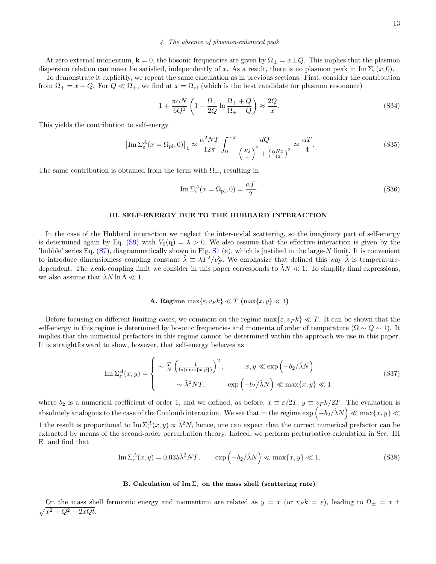#### 4. The absence of plasmon-enhanced peak

At zero external momentum,  $\mathbf{k} = 0$ , the bosonic frequencies are given by  $\Omega_{\pm} = x \pm Q$ . This implies that the plasmon dispersion relation can never be satisfied, independently of x. As a result, there is no plasmon peak in  $\text{Im }\Sigma_{\varepsilon}(x,0)$ .

To demonstrate it explicitly, we repeat the same calculation as in previous sections. First, consider the contribution from  $\Omega_+ = x + Q$ . For  $Q \ll \Omega_+$ , we find at  $x = \Omega_{\text{pl}}$  (which is the best candidate for plasmon resonance)

$$
1 + \frac{\pi \alpha N}{6Q^2} \left( 1 - \frac{\Omega_+}{2Q} \ln \frac{\Omega_+ + Q}{\Omega_+ - Q} \right) \approx \frac{2Q}{x}.
$$
 (S34)

This yields the contribution to self-energy

$$
\left[\operatorname{Im}\Sigma_{\varepsilon}^{A}(x=\Omega_{\text{pl}},0)\right]_{1} \approx \frac{\alpha^{2}NT}{12\pi} \int_{0}^{\infty} \frac{dQ}{\left(\frac{2Q}{x}\right)^{2} + \left(\frac{\alpha Nx}{12}\right)^{2}} \approx \frac{\alpha T}{4}.
$$
\n(S35)

The same contribution is obtained from the term with  $\Omega_{-}$ , resulting in

$$
\operatorname{Im}\Sigma_{\varepsilon}^{A}(x=\Omega_{\text{pl}},0)=\frac{\alpha T}{2}.
$$
\n(S36)

#### III. SELF-ENERGY DUE TO THE HUBBARD INTERACTION

In the case of the Hubbard interaction we neglect the inter-nodal scattering, so the imaginary part of self-energy is determined again by Eq. (S9) with  $V_0(\mathbf{q}) = \lambda > 0$ . We also assume that the effective interaction is given by the 'bubble' series Eq.  $(S7)$ , diagrammatically shown in Fig.  $S1$  (a), which is justified in the large-N limit. It is convenient to introduce dimensionless coupling constant  $\tilde{\lambda} = \lambda T^2/v_F^3$ . We emphasize that defined this way  $\tilde{\lambda}$  is temperaturedependent. The weak-coupling limit we consider in this paper corresponds to  $\tilde{\lambda}N \ll 1$ . To simplify final expressions, we also assume that  $\lambda N \ln \Lambda \ll 1$ .

## A. Regime  $\max\{\varepsilon, v_F k\} \ll T \left(\max\{x, y\} \ll 1\right)$

Before focusing on different limiting cases, we comment on the regime  $\max\{\varepsilon, v_F k\} \ll T$ . It can be shown that the self-energy in this regime is determined by bosonic frequencies and momenta of order of temperature ( $\Omega \sim Q \sim 1$ ). It implies that the numerical prefactors in this regime cannot be determined within the approach we use in this paper. It is straightforward to show, however, that self-energy behaves as

$$
\operatorname{Im} \Sigma_{\varepsilon}^{A}(x, y) = \begin{cases} \sim \frac{T}{N} \left( \frac{1}{\ln(\max\{x, y\})} \right)^{2}, & x, y \ll \exp\left( -b_{2}/\tilde{\lambda} N \right) \\ \sim \tilde{\lambda}^{2} N T, & \exp\left( -b_{2}/\tilde{\lambda} N \right) \ll \max\{x, y\} \ll 1 \end{cases}
$$
(S37)

where  $b_2$  is a numerical coefficient of order 1, and we defined, as before,  $x \equiv \varepsilon/2T$ ,  $y \equiv v_F k/2T$ . The evaluation is absolutely analogous to the case of the Coulomb interaction. We see that in the regime  $\exp\left(-b_2/\tilde{\lambda} N\right)\ll \max\{x,y\}\ll$ 1 the result is proportional to  $\text{Im }\Sigma^A_\varepsilon(x,y) \propto \tilde{\lambda}^2 N$ , hence, one can expect that the correct numerical prefactor can be extracted by means of the second-order perturbation theory. Indeed, we perform perturbative calculation in Sec. III E and find that

$$
\operatorname{Im} \Sigma_{\varepsilon}^{A}(x, y) = 0.035 \tilde{\lambda}^{2} NT, \qquad \exp\left(-b_{2}/\tilde{\lambda} N\right) \ll \max\{x, y\} \ll 1. \tag{S38}
$$

#### B. Calculation of Im  $\Sigma_{\varepsilon}$  on the mass shell (scattering rate)

 $\sqrt{x^2+Q^2-2xQt}.$ On the mass shell fermionic energy and momentum are related as  $y = x$  (or  $v_F k = \varepsilon$ ), leading to  $\Omega_{\pm} = x \pm \Omega$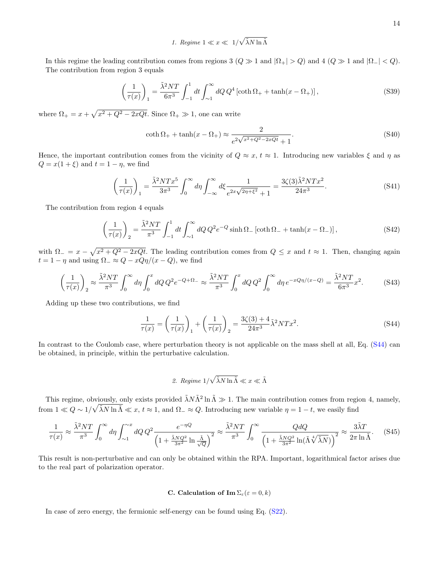1. Regime  $1 \ll x \ll 1/\sqrt{\tilde{\lambda} N \ln \tilde{\Lambda}}$ 

In this regime the leading contribution comes from regions 3 ( $Q \gg 1$  and  $|\Omega_+| > Q$ ) and 4 ( $Q \gg 1$  and  $|\Omega_-| < Q$ ). The contribution from region 3 equals

$$
\left(\frac{1}{\tau(x)}\right)_1 = \frac{\tilde{\lambda}^2 NT}{6\pi^3} \int_{-1}^1 dt \int_{\sim 1}^\infty dQ \, Q^4 \left[\coth \Omega_+ + \tanh(x - \Omega_+)\right],\tag{S39}
$$

where  $\Omega_{+} = x + \sqrt{x^2 + Q^2 - 2xQt}$ . Since  $\Omega_{+} \gg 1$ , one can write

$$
\coth \Omega_{+} + \tanh(x - \Omega_{+}) \approx \frac{2}{e^{2\sqrt{x^{2} + Q^{2} - 2xQt}} + 1}.
$$
\n(S40)

Hence, the important contribution comes from the vicinity of  $Q \approx x$ ,  $t \approx 1$ . Introducing new variables  $\xi$  and  $\eta$  as  $Q = x(1 + \xi)$  and  $t = 1 - \eta$ , we find

$$
\left(\frac{1}{\tau(x)}\right)_1 = \frac{\tilde{\lambda}^2 NTx^5}{3\pi^3} \int_0^\infty d\eta \int_{-\infty}^\infty d\xi \frac{1}{e^{2x\sqrt{2\eta + \xi^2}} + 1} = \frac{3\zeta(3)\tilde{\lambda}^2 NTx^2}{24\pi^3}.
$$
 (S41)

The contribution from region 4 equals

$$
\left(\frac{1}{\tau(x)}\right)_2 = \frac{\tilde{\lambda}^2 NT}{\pi^3} \int_{-1}^1 dt \int_{\sim 1}^{\infty} dQ \, Q^2 e^{-Q} \sinh \Omega_{-} \left[\coth \Omega_{-} + \tanh(x - \Omega_{-})\right],\tag{S42}
$$

with  $\Omega = x - \sqrt{x^2 + Q^2 - 2xQt}$ . The leading contribution comes from  $Q \leq x$  and  $t \approx 1$ . Then, changing again  $t = 1 - \eta$  and using  $\Omega_{-} \approx Q - xQ\eta/(x - Q)$ , we find

$$
\left(\frac{1}{\tau(x)}\right)_2 \approx \frac{\tilde{\lambda}^2 NT}{\pi^3} \int_0^\infty d\eta \int_0^x dQ \, Q^2 e^{-Q+\Omega_-} \approx \frac{\tilde{\lambda}^2 NT}{\pi^3} \int_0^x dQ \, Q^2 \int_0^\infty d\eta \, e^{-xQ\eta/(x-Q)} = \frac{\tilde{\lambda}^2 NT}{6\pi^3} x^2. \tag{S43}
$$

Adding up these two contributions, we find

$$
\frac{1}{\tau(x)} = \left(\frac{1}{\tau(x)}\right)_1 + \left(\frac{1}{\tau(x)}\right)_2 = \frac{3\zeta(3) + 4}{24\pi^3} \tilde{\lambda}^2 NTx^2.
$$
 (S44)

In contrast to the Coulomb case, where perturbation theory is not applicable on the mass shell at all, Eq. (S44) can be obtained, in principle, within the perturbative calculation.

2. *Regime* 
$$
1/\sqrt{\tilde{\lambda}N \ln \tilde{\Lambda}} \ll x \ll \tilde{\Lambda}
$$

This regime, obviously, only exists provided  $\tilde{\lambda}N\tilde{\Lambda}^2 \ln \tilde{\Lambda} \gg 1$ . The main contribution comes from region 4, namely, from  $1 \ll Q \sim 1/\sqrt{\tilde{\lambda} N \ln \tilde{\Lambda}} \ll x$ ,  $t \approx 1$ , and  $\Omega_{-} \approx Q$ . Introducing new variable  $\eta = 1 - t$ , we easily find

$$
\frac{1}{\tau(x)} \approx \frac{\tilde{\lambda}^2 NT}{\pi^3} \int_0^\infty d\eta \int_{\sim 1}^{\sim x} dQ \, Q^2 \frac{e^{-\eta Q}}{\left(1 + \frac{\tilde{\lambda} N Q^2}{3\pi^2} \ln \frac{\tilde{\Lambda}}{\sqrt{Q}}\right)^2} \approx \frac{\tilde{\lambda}^2 NT}{\pi^3} \int_0^\infty \frac{Q dQ}{\left(1 + \frac{\tilde{\lambda} N Q^2}{3\pi^2} \ln(\tilde{\Lambda}\sqrt[4]{\tilde{\lambda}N})\right)^2} \approx \frac{3\tilde{\lambda}T}{2\pi \ln \tilde{\Lambda}}.\tag{S45}
$$

This result is non-perturbative and can only be obtained within the RPA. Important, logarithmical factor arises due to the real part of polarization operator.

## C. Calculation of  $\text{Im }\Sigma_{\varepsilon}(\varepsilon=0,k)$

In case of zero energy, the fermionic self-energy can be found using Eq. (S22).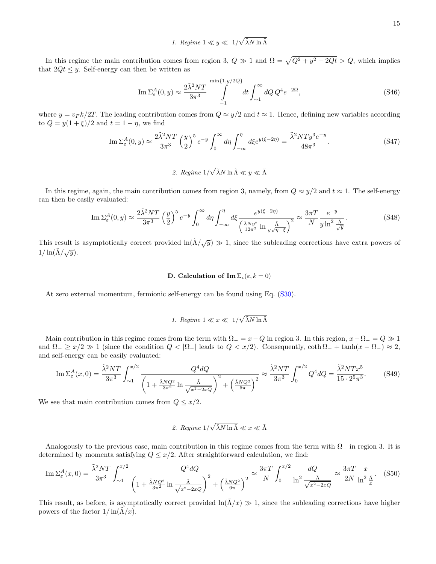1. Regime  $1 \ll y \ll 1/\sqrt{\tilde{\lambda} N \ln \tilde{\Lambda}}$ 

In this regime the main contribution comes from region 3,  $Q \gg 1$  and  $\Omega = \sqrt{Q^2 + y^2 - 2Qt} > Q$ , which implies that  $2Qt \leq y$ . Self-energy can then be written as

$$
\operatorname{Im} \Sigma_{\varepsilon}^{A}(0, y) \approx \frac{2\tilde{\lambda}^{2}NT}{3\pi^{3}} \int_{-1}^{\min\{1, y/2Q\}} dt \int_{\sim 1}^{\infty} dQ \, Q^{4} e^{-2\Omega},\tag{S46}
$$

where  $y = v_F k/2T$ . The leading contribution comes from  $Q \approx y/2$  and  $t \approx 1$ . Hence, defining new variables according to  $Q = y(1 + \xi)/2$  and  $t = 1 - \eta$ , we find

$$
\operatorname{Im}\Sigma_{\varepsilon}^{A}(0,y) \approx \frac{2\tilde{\lambda}^{2}NT}{3\pi^{3}} \left(\frac{y}{2}\right)^{5} e^{-y} \int_{0}^{\infty} d\eta \int_{-\infty}^{\eta} d\xi e^{y(\xi-2\eta)} = \frac{\tilde{\lambda}^{2}NTy^{3}e^{-y}}{48\pi^{3}}.
$$
 (S47)

2. Regime  $1/\sqrt{\tilde{\lambda}N\ln\tilde{\Lambda}} \ll y \ll \tilde{\Lambda}$ 

In this regime, again, the main contribution comes from region 3, namely, from  $Q \approx y/2$  and  $t \approx 1$ . The self-energy can then be easily evaluated:

$$
\operatorname{Im}\Sigma_{\varepsilon}^{A}(0,y) \approx \frac{2\tilde{\lambda}^{2}NT}{3\pi^{3}} \left(\frac{y}{2}\right)^{5} e^{-y} \int_{0}^{\infty} d\eta \int_{-\infty}^{\eta} d\xi \frac{e^{y(\xi-2\eta)}}{\left(\frac{\tilde{\lambda}Ny^{2}}{12\pi^{2}}\ln\frac{\tilde{\lambda}}{y\sqrt{\eta-\xi}}\right)^{2}} \approx \frac{3\pi T}{N} \frac{e^{-y}}{y\ln^{2}\frac{\tilde{\lambda}}{\sqrt{y}}}. \tag{S48}
$$

This result is asymptotically correct provided  $\ln(\tilde{\Lambda}/\sqrt{y}) \gg 1$ , since the subleading corrections have extra powers of  $1/\ln(\tilde{\Lambda}/\sqrt{y}).$ 

## D. Calculation of Im  $\Sigma_{\varepsilon}(\varepsilon, k = 0)$

At zero external momentum, fermionic self-energy can be found using Eq. (S30).

1. *Regime* 
$$
1 \ll x \ll 1/\sqrt{\tilde{\lambda} N \ln \tilde{\Lambda}}
$$

Main contribution in this regime comes from the term with  $\Omega = x - Q$  in region 3. In this region,  $x - \Omega = Q \gg 1$ and  $\Omega_{-} \geq x/2 \gg 1$  (since the condition  $Q < |\Omega_{-}|$  leads to  $Q < x/2$ ). Consequently,  $\coth \Omega_{-} + \tanh(x - \Omega_{-}) \approx 2$ , and self-energy can be easily evaluated:

$$
\operatorname{Im}\Sigma_{\varepsilon}^{A}(x,0) = \frac{\tilde{\lambda}^{2}NT}{3\pi^{3}} \int_{\sim 1}^{x/2} \frac{Q^{4}dQ}{\left(1 + \frac{\tilde{\lambda}NQ^{2}}{3\pi^{2}}\ln\frac{\tilde{\Lambda}}{\sqrt{x^{2} - 2xQ}}\right)^{2} + \left(\frac{\tilde{\lambda}NQ^{2}}{6\pi}\right)^{2}} \approx \frac{\tilde{\lambda}^{2}NT}{3\pi^{3}} \int_{0}^{x/2} Q^{4}dQ = \frac{\tilde{\lambda}^{2}NTx^{5}}{15 \cdot 2^{5}\pi^{3}}.
$$
 (S49)

We see that main contribution comes from  $Q \leq x/2$ .

2. *Regime* 
$$
1/\sqrt{\tilde{\lambda}N \ln \tilde{\Lambda}} \ll x \ll \tilde{\Lambda}
$$

Analogously to the previous case, main contribution in this regime comes from the term with  $\Omega_-\$  in region 3. It is determined by momenta satisfying  $Q \leq x/2$ . After straightforward calculation, we find:

$$
\operatorname{Im}\Sigma_{\varepsilon}^{A}(x,0) = \frac{\tilde{\lambda}^{2}NT}{3\pi^{3}} \int_{\sim 1}^{x/2} \frac{Q^{4}dQ}{\left(1 + \frac{\tilde{\lambda}NQ^{2}}{3\pi^{2}} \ln \frac{\tilde{\Lambda}}{\sqrt{x^{2} - 2xQ}}\right)^{2} + \left(\frac{\tilde{\lambda}NQ^{2}}{6\pi}\right)^{2}} \approx \frac{3\pi T}{N} \int_{0}^{x/2} \frac{dQ}{\ln^{2} \frac{\tilde{\Lambda}}{\sqrt{x^{2} - 2xQ}}} \approx \frac{3\pi T}{2N} \frac{x}{\ln^{2} \frac{\tilde{\Lambda}}{x}}.
$$
 (S50)

This result, as before, is asymptotically correct provided  $\ln(\tilde{\Lambda}/x) \gg 1$ , since the subleading corrections have higher powers of the factor  $1/\ln(\Lambda/x)$ .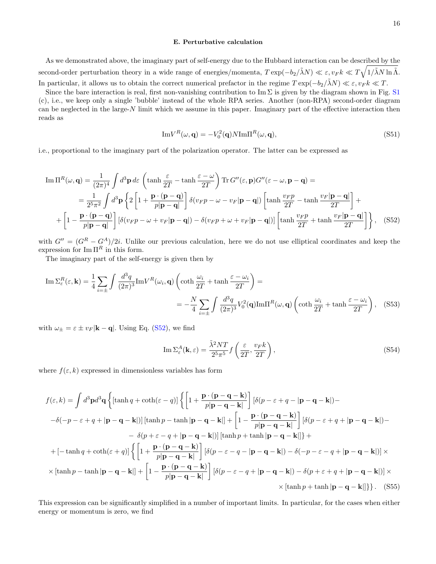#### E. Perturbative calculation

As we demonstrated above, the imaginary part of self-energy due to the Hubbard interaction can be described by the second-order perturbation theory in a wide range of energies/momenta,  $T \exp(-b_2/\tilde{\lambda}N) \ll \varepsilon, v_F k \ll T \sqrt{1/\tilde{\lambda}N \ln \tilde{\Lambda}}$ . In particular, it allows us to obtain the correct numerical prefactor in the regime  $T \exp(-b_2/\tilde{\lambda}N) \ll \varepsilon, v_F k \ll T$ .

Since the bare interaction is real, first non-vanishing contribution to Im  $\Sigma$  is given by the diagram shown in Fig. S1 (c), i.e., we keep only a single 'bubble' instead of the whole RPA series. Another (non-RPA) second-order diagram can be neglected in the large-N limit which we assume in this paper. Imaginary part of the effective interaction then reads as

$$
\mathrm{Im}V^{R}(\omega, \mathbf{q}) = -V_{0}^{2}(\mathbf{q})N \mathrm{Im}\Pi^{R}(\omega, \mathbf{q}), \qquad (S51)
$$

i.e., proportional to the imaginary part of the polarization operator. The latter can be expressed as

$$
\text{Im}\,\Pi^{R}(\omega,\mathbf{q}) = \frac{1}{(2\pi)^{4}} \int d^{3}\mathbf{p} \, d\varepsilon \left( \tanh\frac{\varepsilon}{2T} - \tanh\frac{\varepsilon-\omega}{2T} \right) \text{Tr}\, G''(\varepsilon,\mathbf{p}) G''(\varepsilon-\omega,\mathbf{p}-\mathbf{q}) =
$$
\n
$$
= \frac{1}{2^{5}\pi^{2}} \int d^{3}\mathbf{p} \left\{ 2 \left[ 1 + \frac{\mathbf{p} \cdot (\mathbf{p}-\mathbf{q})}{p|\mathbf{p}-\mathbf{q}|} \right] \delta(v_{F}p-\omega-v_{F}|\mathbf{p}-\mathbf{q}|) \left[ \tanh\frac{v_{F}p}{2T} - \tanh\frac{v_{F}|\mathbf{p}-\mathbf{q}|}{2T} \right] + \right.
$$
\n
$$
+ \left[ 1 - \frac{\mathbf{p} \cdot (\mathbf{p}-\mathbf{q})}{p|\mathbf{p}-\mathbf{q}|} \right] \left[ \delta(v_{F}p-\omega+v_{F}|\mathbf{p}-\mathbf{q}|) - \delta(v_{F}p+\omega+v_{F}|\mathbf{p}-\mathbf{q}|) \right] \left[ \tanh\frac{v_{F}p}{2T} + \tanh\frac{v_{F}|\mathbf{p}-\mathbf{q}|}{2T} \right] \right\}, \quad (S52)
$$

with  $G'' = (G^R - G^A)/2i$ . Unlike our previous calculation, here we do not use elliptical coordinates and keep the expression for  $\text{Im } \Pi^R$  in this form.

The imaginary part of the self-energy is given then by

$$
\operatorname{Im} \Sigma_{\varepsilon}^{R}(\varepsilon, \mathbf{k}) = \frac{1}{4} \sum_{i=\pm} \int \frac{d^{3}q}{(2\pi)^{3}} \operatorname{Im} V^{R}(\omega_{i}, \mathbf{q}) \left( \coth \frac{\omega_{i}}{2T} + \tanh \frac{\varepsilon - \omega_{i}}{2T} \right) =
$$
  
= 
$$
-\frac{N}{4} \sum_{i=\pm} \int \frac{d^{3}q}{(2\pi)^{3}} V_{0}^{2}(\mathbf{q}) \operatorname{Im} \Pi^{R}(\omega, \mathbf{q}) \left( \coth \frac{\omega_{i}}{2T} + \tanh \frac{\varepsilon - \omega_{i}}{2T} \right), \quad (S53)
$$

with  $\omega_{\pm} = \varepsilon \pm v_F |\mathbf{k} - \mathbf{q}|$ . Using Eq. (S52), we find

$$
\operatorname{Im} \Sigma_{\varepsilon}^{A}(\mathbf{k}, \varepsilon) = \frac{\tilde{\lambda}^{2} NT}{2^{5} \pi^{5}} f\left(\frac{\varepsilon}{2T}, \frac{v_{F} k}{2T}\right),\tag{S54}
$$

where  $f(\varepsilon, k)$  expressed in dimensionless variables has form

$$
f(\varepsilon, k) = \int d^3 \mathbf{p} d^3 \mathbf{q} \left\{ [\tanh q + \coth(\varepsilon - q)] \left\{ \left[ 1 + \frac{\mathbf{p} \cdot (\mathbf{p} - \mathbf{q} - \mathbf{k})}{p|\mathbf{p} - \mathbf{q} - \mathbf{k}|} \right] [\delta(p - \varepsilon + q - |\mathbf{p} - \mathbf{q} - \mathbf{k}|) - \right. \\ \left. - \delta(-p - \varepsilon + q + |\mathbf{p} - \mathbf{q} - \mathbf{k}|)] [\tanh p - \tanh |\mathbf{p} - \mathbf{q} - \mathbf{k}|] + \left[ 1 - \frac{\mathbf{p} \cdot (\mathbf{p} - \mathbf{q} - \mathbf{k})}{p|\mathbf{p} - \mathbf{q} - \mathbf{k}|} \right] [\delta(p - \varepsilon + q + |\mathbf{p} - \mathbf{q} - \mathbf{k}|) - \right. \\ \left. - \delta(p + \varepsilon - q + |\mathbf{p} - \mathbf{q} - \mathbf{k}|)] [\tanh p + \tanh |\mathbf{p} - \mathbf{q} - \mathbf{k}|] \right\} + \\ + [-\tanh q + \coth(\varepsilon + q)] \left\{ \left[ 1 + \frac{\mathbf{p} \cdot (\mathbf{p} - \mathbf{q} - \mathbf{k})}{p|\mathbf{p} - \mathbf{q} - \mathbf{k}|} \right] [\delta(p - \varepsilon - q - |\mathbf{p} - \mathbf{q} - \mathbf{k}|) - \delta(-p - \varepsilon - q + |\mathbf{p} - \mathbf{q} - \mathbf{k}|)] \right. \\ \times [\tanh p - \tanh |\mathbf{p} - \mathbf{q} - \mathbf{k}|] + \left[ 1 - \frac{\mathbf{p} \cdot (\mathbf{p} - \mathbf{q} - \mathbf{k})}{p|\mathbf{p} - \mathbf{q} - \mathbf{k}|} \right] [\delta(p - \varepsilon - q + |\mathbf{p} - \mathbf{q} - \mathbf{k}|) - \delta(p + \varepsilon + q + |\mathbf{p} - \mathbf{q} - \mathbf{k}|)] \right\}.
$$
 (S55)

This expression can be significantly simplified in a number of important limits. In particular, for the cases when either energy or momentum is zero, we find